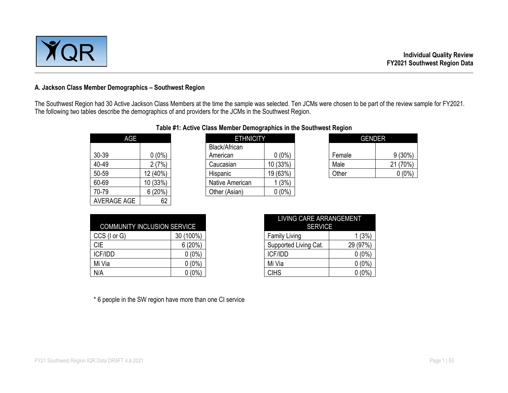

#### **A. Jackson Class Member Demographics – Southwest Region**

The Southwest Region had 30 Active Jackson Class Members at the time the sample was selected. Ten JCMs were chosen to be part of the review sample for FY2021. The following two tables describe the demographics of and providers for the JCMs in the Southwest Region.

| AGE                |          |
|--------------------|----------|
| 30-39              | $0(0\%)$ |
| 40-49              | 2(7%)    |
| 50-59              | 12 (40%) |
| 60-69              | 10 (33%) |
| 70-79              | 6(20%)   |
| <b>AVERAGE AGE</b> |          |

#### **Table #1: Active Class Member Demographics in the Southwest Region**

| <b>AGE</b> |          | <b>ETHNICITY</b> |          | <b>GENDER</b> |           |
|------------|----------|------------------|----------|---------------|-----------|
|            |          | Black/African    |          |               |           |
| 30-39      | 0 (0%)   | American         | $0(0\%)$ | Female        | $9(30\%)$ |
| 40-49      | (7%)     | Caucasian        | 10(33%)  | Male          | 21 (70%)  |
| 50-59      | 12 (40%) | Hispanic         | 19 (63%) | Other         | $0(0\%)$  |
| 60-69      | 10(33%)  | Native American  | (3%)     |               |           |
| 70-79      | 6(20%)   | Other (Asian)    | $0(0\%)$ |               |           |
|            |          |                  |          |               |           |

| <b>ETHNICITY</b> |        |               |
|------------------|--------|---------------|
|                  |        |               |
| $0(0\%)$         | Female | $9(30\%)$     |
| IO (33%)         | Male   | (70%)         |
| 19 (63%)         | Other  | $(0\%$        |
|                  |        | <b>GENDER</b> |

|                                    |           | LIVING CARE ARRANGEMENT |          |
|------------------------------------|-----------|-------------------------|----------|
| <b>COMMUNITY INCLUSION SERVICE</b> |           | <b>SERVICE</b>          |          |
| CCS (I or G)                       | 30 (100%) | <b>Family Living</b>    | (3%)     |
| <b>CIE</b>                         | 6(20%)    | Supported Living Cat.   | 29 (97%) |
| ICF/IDD                            | $0(0\%)$  | <b>ICF/IDD</b>          | $0(0\%)$ |
| Mi Via                             | $0(0\%)$  | Mi Via                  | $0(0\%)$ |
| N/A                                | $0(0\%)$  | <b>CIHS</b>             | $0(0\%)$ |

| LIVING CARE ARRANGEMENT |          |  |  |  |  |  |  |  |  |
|-------------------------|----------|--|--|--|--|--|--|--|--|
| <b>SERVICE</b>          |          |  |  |  |  |  |  |  |  |
| <b>Family Living</b>    | 1(3%)    |  |  |  |  |  |  |  |  |
| Supported Living Cat.   | 29 (97%) |  |  |  |  |  |  |  |  |
| <b>ICF/IDD</b>          | $0(0\%)$ |  |  |  |  |  |  |  |  |
| Mi Via                  | $0(0\%)$ |  |  |  |  |  |  |  |  |
| <b>CIHS</b>             | $(0\%)$  |  |  |  |  |  |  |  |  |

\* 6 people in the SW region have more than one CI service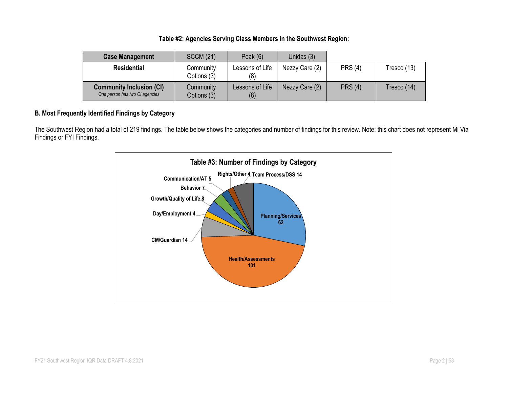#### **Table #2: Agencies Serving Class Members in the Southwest Region:**

| <b>Case Management</b>                                            | <b>SCCM (21)</b>                                   | Peak $(6)$             | Unidas (3)     |                |             |
|-------------------------------------------------------------------|----------------------------------------------------|------------------------|----------------|----------------|-------------|
| <b>Residential</b>                                                | Lessons of Life<br>Community<br>Options (3)<br>(8) |                        | Nezzy Care (2) | <b>PRS (4)</b> | Tresco (13) |
| <b>Community Inclusion (CI)</b><br>One person has two CI agencies | Community<br>Options (3)                           | Lessons of Life<br>(8) | Nezzy Care (2) | <b>PRS (4)</b> | Tresco (14) |

### **B. Most Frequently Identified Findings by Category**

The Southwest Region had a total of 219 findings. The table below shows the categories and number of findings for this review. Note: this chart does not represent Mi Via Findings or FYI Findings.

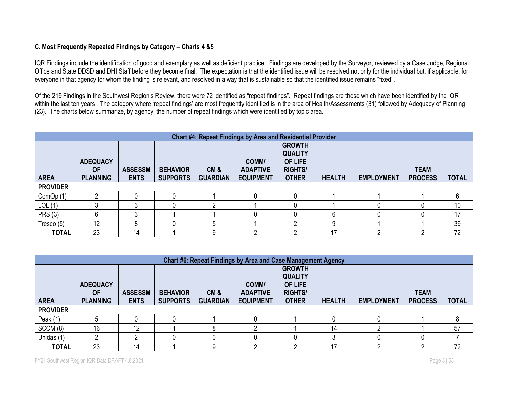#### **C. Most Frequently Repeated Findings by Category – Charts 4 &5**

IQR Findings include the identification of good and exemplary as well as deficient practice. Findings are developed by the Surveyor, reviewed by a Case Judge, Regional Office and State DDSD and DHI Staff before they become final. The expectation is that the identified issue will be resolved not only for the individual but, if applicable, for everyone in that agency for whom the finding is relevant, and resolved in a way that is sustainable so that the identified issue remains "fixed".

Of the 219 Findings in the Southwest Region's Review, there were 72 identified as "repeat findings". Repeat findings are those which have been identified by the IQR within the last ten years. The category where 'repeat findings' are most frequently identified is in the area of Health/Assessments (31) followed by Adequacy of Planning (23). The charts below summarize, by agency, the number of repeat findings which were identified by topic area.

|                 | <b>Chart #4: Repeat Findings by Area and Residential Provider</b> |                               |                                    |                        |                                              |                                                                                     |               |                   |                               |              |  |  |  |  |  |
|-----------------|-------------------------------------------------------------------|-------------------------------|------------------------------------|------------------------|----------------------------------------------|-------------------------------------------------------------------------------------|---------------|-------------------|-------------------------------|--------------|--|--|--|--|--|
| <b>AREA</b>     | <b>ADEQUACY</b><br><b>OF</b><br><b>PLANNING</b>                   | <b>ASSESSM</b><br><b>ENTS</b> | <b>BEHAVIOR</b><br><b>SUPPORTS</b> | CM&<br><b>GUARDIAN</b> | COMM/<br><b>ADAPTIVE</b><br><b>EQUIPMENT</b> | <b>GROWTH</b><br><b>QUALITY</b><br><b>OF LIFE</b><br><b>RIGHTS/</b><br><b>OTHER</b> | <b>HEALTH</b> | <b>EMPLOYMENT</b> | <b>TEAM</b><br><b>PROCESS</b> | <b>TOTAL</b> |  |  |  |  |  |
| <b>PROVIDER</b> |                                                                   |                               |                                    |                        |                                              |                                                                                     |               |                   |                               |              |  |  |  |  |  |
| ComOp (1)       |                                                                   |                               |                                    |                        |                                              |                                                                                     |               |                   |                               | 6            |  |  |  |  |  |
| LOL(1)          | ົ                                                                 |                               |                                    | ◠                      |                                              |                                                                                     |               |                   |                               | 10           |  |  |  |  |  |
| <b>PRS (3)</b>  | 6                                                                 |                               |                                    |                        |                                              |                                                                                     |               |                   |                               | 17           |  |  |  |  |  |
| Tresco (5)      | 12                                                                |                               |                                    | 5                      |                                              | ŋ                                                                                   |               |                   |                               | 39           |  |  |  |  |  |
| <b>TOTAL</b>    | 23                                                                | 14                            |                                    | 9                      |                                              | ŋ                                                                                   | 17            | c                 | ◠                             | 72           |  |  |  |  |  |

|                 | Chart #6: Repeat Findings by Area and Case Management Agency |                               |                                    |                        |                                              |                                                                              |               |                   |                               |              |  |  |  |  |  |
|-----------------|--------------------------------------------------------------|-------------------------------|------------------------------------|------------------------|----------------------------------------------|------------------------------------------------------------------------------|---------------|-------------------|-------------------------------|--------------|--|--|--|--|--|
| <b>AREA</b>     | <b>ADEQUACY</b><br><b>OF</b><br><b>PLANNING</b>              | <b>ASSESSM</b><br><b>ENTS</b> | <b>BEHAVIOR</b><br><b>SUPPORTS</b> | CM&<br><b>GUARDIAN</b> | COMM/<br><b>ADAPTIVE</b><br><b>EQUIPMENT</b> | <b>GROWTH</b><br><b>QUALITY</b><br>OF LIFE<br><b>RIGHTS/</b><br><b>OTHER</b> | <b>HEALTH</b> | <b>EMPLOYMENT</b> | <b>TEAM</b><br><b>PROCESS</b> | <b>TOTAL</b> |  |  |  |  |  |
| <b>PROVIDER</b> |                                                              |                               |                                    |                        |                                              |                                                                              |               |                   |                               |              |  |  |  |  |  |
| Peak $(1)$      |                                                              |                               |                                    |                        |                                              |                                                                              |               |                   |                               |              |  |  |  |  |  |
| SCCM (8)        | 16                                                           | 12                            |                                    | 8                      |                                              |                                                                              | 14            |                   |                               | 57           |  |  |  |  |  |
| Unidas (1)      |                                                              |                               |                                    |                        |                                              |                                                                              |               |                   |                               |              |  |  |  |  |  |
| <b>TOTAL</b>    | 23                                                           | 14                            |                                    | g                      |                                              |                                                                              | 17            |                   |                               | 72           |  |  |  |  |  |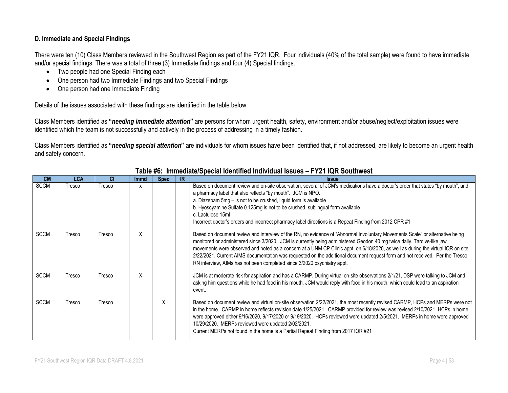#### **D. Immediate and Special Findings**

There were ten (10) Class Members reviewed in the Southwest Region as part of the FY21 IQR. Four individuals (40% of the total sample) were found to have immediate and/or special findings. There was a total of three (3) Immediate findings and four (4) Special findings.

- Two people had one Special Finding each
- One person had two Immediate Findings and two Special Findings
- One person had one Immediate Finding

Details of the issues associated with these findings are identified in the table below.

Class Members identified as **"***needing immediate attention***"** are persons for whom urgent health, safety, environment and/or abuse/neglect/exploitation issues were identified which the team is not successfully and actively in the process of addressing in a timely fashion.

Class Members identified as **"***needing special attention***"** are individuals for whom issues have been identified that, if not addressed, are likely to become an urgent health and safety concern.

| <b>CM</b>   | <b>LCA</b> | <b>CI</b> | <b>Immd</b> | <b>Spec</b> | IR | <b>Issue</b>                                                                                                                                                                                                                                                                                                                                                                                                                                                                                                                                                                                         |
|-------------|------------|-----------|-------------|-------------|----|------------------------------------------------------------------------------------------------------------------------------------------------------------------------------------------------------------------------------------------------------------------------------------------------------------------------------------------------------------------------------------------------------------------------------------------------------------------------------------------------------------------------------------------------------------------------------------------------------|
| <b>SCCM</b> | Tresco     | Tresco    | x           |             |    | Based on document review and on-site observation, several of JCM's medications have a doctor's order that states "by mouth", and<br>a pharmacy label that also reflects "by mouth". JCM is NPO.<br>a. Diazepam 5mg - is not to be crushed, liquid form is available<br>b. Hyoscyamine Sulfate 0.125mg is not to be crushed, sublingual form available<br>c. Lactulose 15ml<br>Incorrect doctor's orders and incorrect pharmacy label directions is a Repeat Finding from 2012 CPR #1                                                                                                                 |
| <b>SCCM</b> | Tresco     | Tresco    | X           |             |    | Based on document review and interview of the RN, no evidence of "Abnormal Involuntary Movements Scale" or alternative being<br>monitored or administered since 3/2020. JCM is currently being administered Geodon 40 mg twice daily. Tardive-like jaw<br>movements were observed and noted as a concern at a UNM CP Clinic appt. on 6/18/2020, as well as during the virtual IQR on site<br>2/22/2021. Current AIMS documentation was requested on the additional document request form and not received. Per the Tresco<br>RN interview, AIMs has not been completed since 3/2020 psychiatry appt. |
| <b>SCCM</b> | Tresco     | Tresco    | X           |             |    | JCM is at moderate risk for aspiration and has a CARMP. During virtual on-site observations 2/1/21, DSP were talking to JCM and<br>asking him questions while he had food in his mouth. JCM would reply with food in his mouth, which could lead to an aspiration<br>event.                                                                                                                                                                                                                                                                                                                          |
| <b>SCCM</b> | Tresco     | Tresco    |             | X           |    | Based on document review and virtual on-site observation 2/22/2021, the most recently revised CARMP, HCPs and MERPs were not<br>in the home. CARMP in home reflects revision date 1/25/2021. CARMP provided for review was revised 2/10/2021. HCPs in home<br>were approved either 9/16/2020, 9/17/2020 or 9/19/2020. HCPs reviewed were updated 2/5/2021. MERPs in home were approved<br>10/29/2020. MERPs reviewed were updated 2/02/2021.<br>Current MERPs not found in the home is a Partial Repeat Finding from 2017 IQR #21                                                                    |

#### **Table #6: Immediate/Special Identified Individual Issues – FY21 IQR Southwest**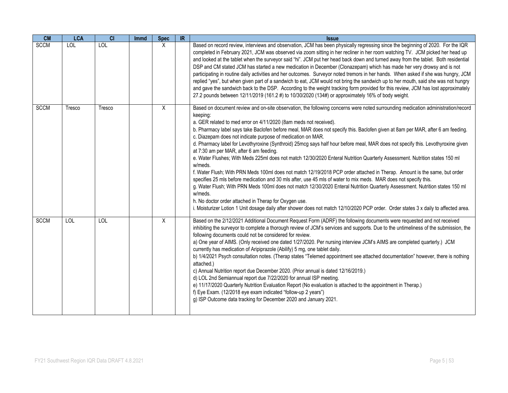| CM          | <b>LCA</b> | $\overline{c}$ | <b>Immd</b> | <b>Spec</b> | $\overline{\mathbb{R}}$ | <b>Issue</b>                                                                                                                                                                                                                                                                                                                                                                                                                                                                                                                                                                                                                                                                                                                                                                                                                                                                                                                                                                                                                                                                                                                                                                                                                                                                                                                               |
|-------------|------------|----------------|-------------|-------------|-------------------------|--------------------------------------------------------------------------------------------------------------------------------------------------------------------------------------------------------------------------------------------------------------------------------------------------------------------------------------------------------------------------------------------------------------------------------------------------------------------------------------------------------------------------------------------------------------------------------------------------------------------------------------------------------------------------------------------------------------------------------------------------------------------------------------------------------------------------------------------------------------------------------------------------------------------------------------------------------------------------------------------------------------------------------------------------------------------------------------------------------------------------------------------------------------------------------------------------------------------------------------------------------------------------------------------------------------------------------------------|
| <b>SCCM</b> | LOL        | <b>LOL</b>     |             | X           |                         | Based on record review, interviews and observation, JCM has been physically regressing since the beginning of 2020. For the IQR<br>completed in February 2021, JCM was observed via zoom sitting in her recliner in her room watching TV. JCM picked her head up<br>and looked at the tablet when the surveyor said "hi". JCM put her head back down and turned away from the tablet. Both residential<br>DSP and CM stated JCM has started a new medication in December (Clonazepam) which has made her very drowsy and is not<br>participating in routine daily activities and her outcomes. Surveyor noted tremors in her hands. When asked if she was hungry, JCM<br>replied "yes", but when given part of a sandwich to eat, JCM would not bring the sandwich up to her mouth, said she was not hungry<br>and gave the sandwich back to the DSP. According to the weight tracking form provided for this review, JCM has lost approximately<br>27.2 pounds between 12/11/2019 (161.2 #) to 10/30/2020 (134#) or approximately 16% of body weight.                                                                                                                                                                                                                                                                                     |
| <b>SCCM</b> | Tresco     | Tresco         |             | X           |                         | Based on document review and on-site observation, the following concerns were noted surrounding medication administration/record<br>keeping:<br>a. GER related to med error on 4/11/2020 (8am meds not received).<br>b. Pharmacy label says take Baclofen before meal, MAR does not specify this. Baclofen given at 8am per MAR, after 6 am feeding.<br>c. Diazepam does not indicate purpose of medication on MAR.<br>d. Pharmacy label for Levothyroxine (Synthroid) 25mcg says half hour before meal, MAR does not specify this. Levothyroxine given<br>at 7:30 am per MAR, after 6 am feeding.<br>e. Water Flushes; With Meds 225ml does not match 12/30/2020 Enteral Nutrition Quarterly Assessment. Nutrition states 150 ml<br>w/meds.<br>f. Water Flush; With PRN Meds 100ml does not match 12/19/2018 PCP order attached in Therap. Amount is the same, but order<br>specifies 25 mls before medication and 30 mls after, use 45 mls of water to mix meds. MAR does not specify this.<br>g. Water Flush; With PRN Meds 100ml does not match 12/30/2020 Enteral Nutrition Quarterly Assessment. Nutrition states 150 ml<br>w/meds.<br>h. No doctor order attached in Therap for Oxygen use.<br>i. Moisturizer Lotion 1 Unit dosage daily after shower does not match 12/10/2020 PCP order. Order states 3 x daily to affected area. |
| <b>SCCM</b> | LOL        | <b>LOL</b>     |             | X           |                         | Based on the 2/12/2021 Additional Document Request Form (ADRF) the following documents were requested and not received<br>inhibiting the surveyor to complete a thorough review of JCM's services and supports. Due to the untimeliness of the submission, the<br>following documents could not be considered for review.<br>a) One year of AIMS. (Only received one dated 1/27/2020. Per nursing interview JCM's AIMS are completed quarterly.) JCM<br>currently has medication of Aripiprazole (Abilify) 5 mg, one tablet daily.<br>b) 1/4/2021 Psych consultation notes. (Therap states "Telemed appointment see attached documentation" however, there is nothing<br>attached.)<br>c) Annual Nutrition report due December 2020. (Prior annual is dated 12/16/2019.)<br>d) LOL 2nd Semiannual report due 7/22/2020 for annual ISP meeting.<br>e) 11/17/2020 Quarterly Nutrition Evaluation Report (No evaluation is attached to the appointment in Therap.)<br>f) Eye Exam. (12/2018 eye exam indicated "follow-up 2 years")<br>g) ISP Outcome data tracking for December 2020 and January 2021.                                                                                                                                                                                                                                       |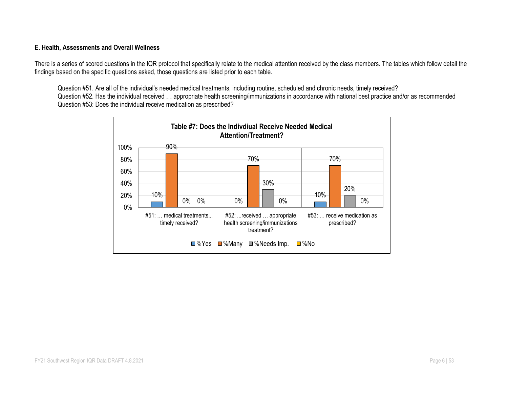#### **E. Health, Assessments and Overall Wellness**

There is a series of scored questions in the IQR protocol that specifically relate to the medical attention received by the class members. The tables which follow detail the findings based on the specific questions asked, those questions are listed prior to each table.

Question #51. Are all of the individual's needed medical treatments, including routine, scheduled and chronic needs, timely received? Question #52. Has the individual received … appropriate health screening/immunizations in accordance with national best practice and/or as recommended Question #53: Does the individual receive medication as prescribed?

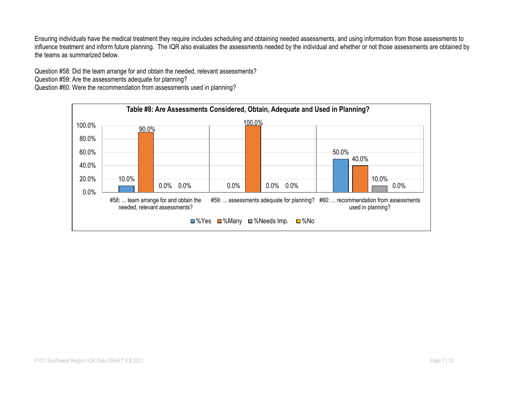Ensuring individuals have the medical treatment they require includes scheduling and obtaining needed assessments, and using information from those assessments to influence treatment and inform future planning. The IQR also evaluates the assessments needed by the individual and whether or not those assessments are obtained by the teams as summarized below.

Question #58: Did the team arrange for and obtain the needed, relevant assessments?

Question #59: Are the assessments adequate for planning?

Question #60: Were the recommendation from assessments used in planning?

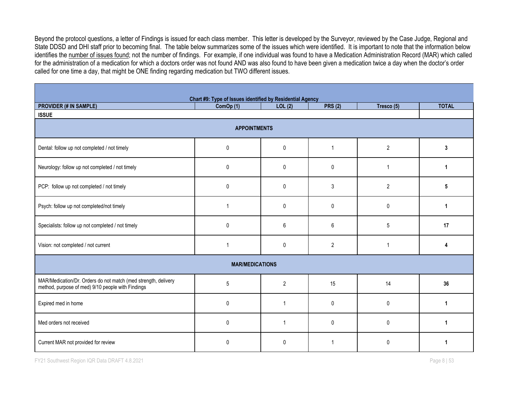Beyond the protocol questions, a letter of Findings is issued for each class member. This letter is developed by the Surveyor, reviewed by the Case Judge, Regional and State DDSD and DHI staff prior to becoming final. The table below summarizes some of the issues which were identified. It is important to note that the information below identifies the number of issues found; not the number of findings. For example, if one individual was found to have a Medication Administration Record (MAR) which called for the administration of a medication for which a doctors order was not found AND was also found to have been given a medication twice a day when the doctor's order called for one time a day, that might be ONE finding regarding medication but TWO different issues.

| Chart #9: Type of Issues identified by Residential Agency                                                           |                        |                |                |                |              |  |  |  |  |  |  |  |  |
|---------------------------------------------------------------------------------------------------------------------|------------------------|----------------|----------------|----------------|--------------|--|--|--|--|--|--|--|--|
| <b>PROVIDER (# IN SAMPLE)</b>                                                                                       | ComOp(1)               | LOL(2)         | <b>PRS (2)</b> | Tresco (5)     | <b>TOTAL</b> |  |  |  |  |  |  |  |  |
| <b>ISSUE</b>                                                                                                        |                        |                |                |                |              |  |  |  |  |  |  |  |  |
| <b>APPOINTMENTS</b>                                                                                                 |                        |                |                |                |              |  |  |  |  |  |  |  |  |
| Dental: follow up not completed / not timely                                                                        | 0                      | $\mathbf 0$    | 1              | $\overline{2}$ | 3            |  |  |  |  |  |  |  |  |
| Neurology: follow up not completed / not timely                                                                     | 0                      | $\mathbf{0}$   | 0              | 1              | 1            |  |  |  |  |  |  |  |  |
| PCP: follow up not completed / not timely                                                                           | 0                      | $\pmb{0}$      | 3              | $\overline{2}$ | 5            |  |  |  |  |  |  |  |  |
| Psych: follow up not completed/not timely                                                                           |                        | $\mathbf{0}$   | $\mathbf{0}$   | $\mathbf{0}$   | 1            |  |  |  |  |  |  |  |  |
| Specialists: follow up not completed / not timely                                                                   | 0                      | 6              | 6              | $\sqrt{5}$     | 17           |  |  |  |  |  |  |  |  |
| Vision: not completed / not current                                                                                 | 1                      | $\mathbf 0$    | $\overline{2}$ | 1              |              |  |  |  |  |  |  |  |  |
|                                                                                                                     | <b>MAR/MEDICATIONS</b> |                |                |                |              |  |  |  |  |  |  |  |  |
| MAR/Medication/Dr. Orders do not match (med strength, delivery<br>method, purpose of med) 9/10 people with Findings | 5                      | $\overline{2}$ | 15             | 14             | 36           |  |  |  |  |  |  |  |  |
| Expired med in home                                                                                                 | 0                      | -1             | 0              | $\mathbf{0}$   | 1            |  |  |  |  |  |  |  |  |
| Med orders not received                                                                                             | 0                      |                | 0              | $\mathbf{0}$   |              |  |  |  |  |  |  |  |  |
| Current MAR not provided for review                                                                                 | 0                      | $\mathbf{0}$   | 1              | $\mathbf{0}$   | 1            |  |  |  |  |  |  |  |  |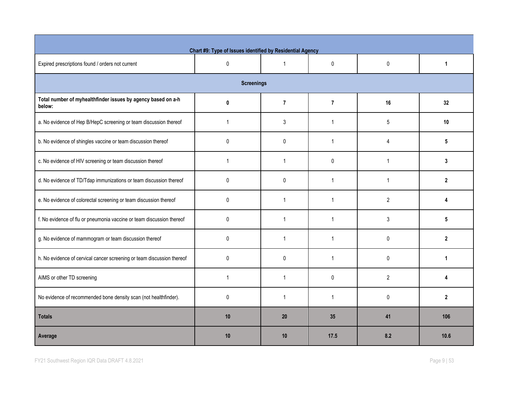| Chart #9: Type of Issues identified by Residential Agency              |              |                |                |                |              |  |  |  |  |  |  |  |  |
|------------------------------------------------------------------------|--------------|----------------|----------------|----------------|--------------|--|--|--|--|--|--|--|--|
| Expired prescriptions found / orders not current                       | $\pmb{0}$    | $\overline{1}$ | $\pmb{0}$      | 0              | $\mathbf{1}$ |  |  |  |  |  |  |  |  |
| <b>Screenings</b>                                                      |              |                |                |                |              |  |  |  |  |  |  |  |  |
| Total number of myhealthfinder issues by agency based on a-h<br>below: | $\mathbf{0}$ | $\overline{7}$ | $\overline{7}$ | 16             | 32           |  |  |  |  |  |  |  |  |
| a. No evidence of Hep B/HepC screening or team discussion thereof      | $\mathbf 1$  | 3              | $\overline{1}$ | 5              | 10           |  |  |  |  |  |  |  |  |
| b. No evidence of shingles vaccine or team discussion thereof          | 0            | 0              | $\mathbf{1}$   | 4              | 5            |  |  |  |  |  |  |  |  |
| c. No evidence of HIV screening or team discussion thereof             | $\mathbf 1$  | $\mathbf{1}$   | $\pmb{0}$      | $\mathbf{1}$   | 3            |  |  |  |  |  |  |  |  |
| d. No evidence of TD/Tdap immunizations or team discussion thereof     | $\mathbf{0}$ | $\mathbf{0}$   | $\mathbf{1}$   | $\mathbf{1}$   | $\mathbf{2}$ |  |  |  |  |  |  |  |  |
| e. No evidence of colorectal screening or team discussion thereof      | 0            | $\mathbf{1}$   | $\overline{1}$ | $\overline{2}$ |              |  |  |  |  |  |  |  |  |
| f. No evidence of flu or pneumonia vaccine or team discussion thereof  | 0            | $\mathbf{1}$   | $\overline{1}$ | 3              | 5            |  |  |  |  |  |  |  |  |
| g. No evidence of mammogram or team discussion thereof                 | $\mathbf{0}$ | $\mathbf{1}$   | 1              | 0              | $\mathbf{2}$ |  |  |  |  |  |  |  |  |
| h. No evidence of cervical cancer screening or team discussion thereof | $\pmb{0}$    | $\pmb{0}$      | $\mathbf{1}$   | 0              | $\mathbf 1$  |  |  |  |  |  |  |  |  |
| AIMS or other TD screening                                             | $\mathbf{1}$ | $\mathbf{1}$   | $\mathbf{0}$   | $\overline{2}$ | 4            |  |  |  |  |  |  |  |  |
| No evidence of recommended bone density scan (not healthfinder).       | $\mathbf{0}$ | $\mathbf{1}$   | 1              | 0              | $\mathbf{2}$ |  |  |  |  |  |  |  |  |
| <b>Totals</b>                                                          | 10           | 20             | 35             | 41             | 106          |  |  |  |  |  |  |  |  |
| Average                                                                | 10           | 10             | 17.5           | 8.2            | 10.6         |  |  |  |  |  |  |  |  |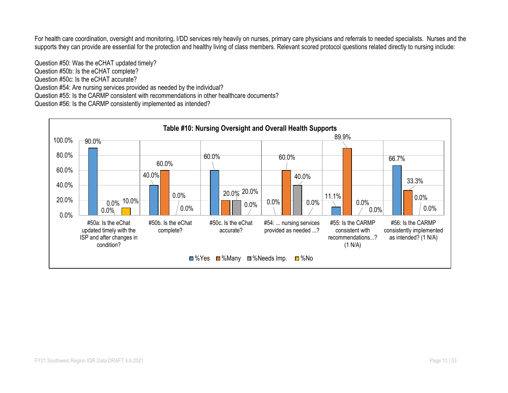For health care coordination, oversight and monitoring, I/DD services rely heavily on nurses, primary care physicians and referrals to needed specialists. Nurses and the supports they can provide are essential for the protection and healthy living of class members. Relevant scored protocol questions related directly to nursing include:

Question #50: Was the eCHAT updated timely? Question #50b: Is the eCHAT complete? Question #50c: Is the eCHAT accurate? Question #54: Are nursing services provided as needed by the individual? Question #55: Is the CARMP consistent with recommendations in other healthcare documents? Question #56: Is the CARMP consistently implemented as intended?

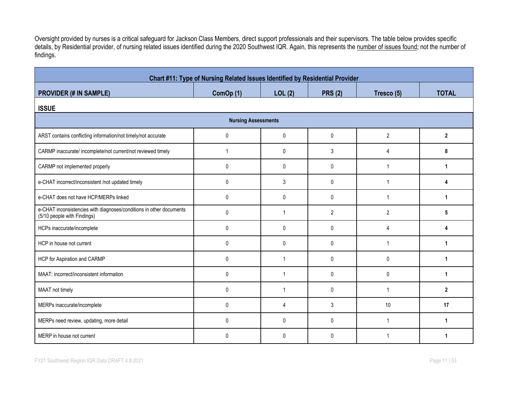Oversight provided by nurses is a critical safeguard for Jackson Class Members, direct support professionals and their supervisors. The table below provides specific details, by Residential provider, of nursing related issues identified during the 2020 Southwest IQR. Again, this represents the number of issues found; not the number of findings.

| Chart #11: Type of Nursing Related Issues Identified by Residential Provider                       |              |                |                |                |                |  |  |  |  |  |  |
|----------------------------------------------------------------------------------------------------|--------------|----------------|----------------|----------------|----------------|--|--|--|--|--|--|
| <b>PROVIDER (# IN SAMPLE)</b>                                                                      | ComOp (1)    | LOL(2)         | <b>PRS (2)</b> | Tresco (5)     | <b>TOTAL</b>   |  |  |  |  |  |  |
| <b>ISSUE</b>                                                                                       |              |                |                |                |                |  |  |  |  |  |  |
| <b>Nursing Assessments</b>                                                                         |              |                |                |                |                |  |  |  |  |  |  |
| ARST contains conflicting information/not timely/not accurate                                      | 0            | 0              | $\mathbf{0}$   | $\overline{2}$ | $\overline{2}$ |  |  |  |  |  |  |
| CARMP inaccurate/ incomplete/not current/not reviewed timely                                       | $\mathbf 1$  | 0              | 3              | 4              | 8              |  |  |  |  |  |  |
| CARMP not implemented properly                                                                     | $\mathbf 0$  | 0              | $\mathbf 0$    | 1              | 1              |  |  |  |  |  |  |
| e-CHAT incorrect/inconsistent /not updated timely                                                  | $\mathbf{0}$ | 3              | $\mathbf{0}$   | $\mathbf 1$    | 4              |  |  |  |  |  |  |
| e-CHAT does not have HCP/MERPs linked                                                              | 0            | $\mathbf{0}$   | $\mathbf{0}$   | -1             | 1              |  |  |  |  |  |  |
| e-CHAT inconsistencies with diagnoses/conditions in other documents<br>(5/10 people with Findings) | $\mathbf{0}$ | -1             | $\overline{2}$ | $\overline{2}$ | 5              |  |  |  |  |  |  |
| HCPs inaccurate/incomplete                                                                         | $\mathbf 0$  | $\mathbf{0}$   | $\mathbf{0}$   | 4              | Δ              |  |  |  |  |  |  |
| HCP in house not current                                                                           | $\pmb{0}$    | $\mathbf{0}$   | $\pmb{0}$      | $\mathbf 1$    |                |  |  |  |  |  |  |
| HCP for Aspiration and CARMP                                                                       | $\pmb{0}$    | $\overline{1}$ | $\pmb{0}$      | $\pmb{0}$      | 1              |  |  |  |  |  |  |
| MAAT: incorrect/inconsistent information                                                           | $\mathbf 0$  | 1              | $\mathbf{0}$   | 0              |                |  |  |  |  |  |  |
| MAAT not timely                                                                                    | 0            | 1              | $\mathbf{0}$   | $\mathbf{1}$   | $\mathbf{2}$   |  |  |  |  |  |  |
| MERPs inaccurate/incomplete                                                                        | 0            | 4              | 3              | 10             | 17             |  |  |  |  |  |  |
| MERPs need review, updating, more detail                                                           | $\mathbf{0}$ | $\Omega$       | $\Omega$       | $\mathbf{1}$   |                |  |  |  |  |  |  |
| MERP in house not current                                                                          | $\Omega$     | 0              | $\Omega$       |                |                |  |  |  |  |  |  |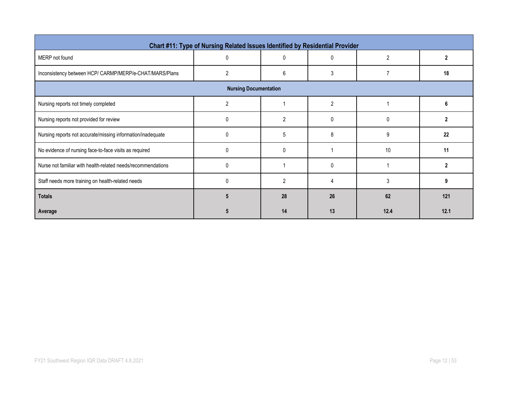| Chart #11: Type of Nursing Related Issues Identified by Residential Provider |                |                |                |          |      |  |  |  |  |  |  |
|------------------------------------------------------------------------------|----------------|----------------|----------------|----------|------|--|--|--|--|--|--|
| MERP not found                                                               | $\Omega$       | 0              | 0              | 2        |      |  |  |  |  |  |  |
| Inconsistency between HCP/ CARMP/MERP/e-CHAT/MARS/Plans                      | $\overline{2}$ | 6              | 3              |          | 18   |  |  |  |  |  |  |
| <b>Nursing Documentation</b>                                                 |                |                |                |          |      |  |  |  |  |  |  |
| Nursing reports not timely completed                                         | $\overline{2}$ |                | $\overline{2}$ |          | 6    |  |  |  |  |  |  |
| Nursing reports not provided for review                                      | n              | 2              | 0              | $\Omega$ | 2    |  |  |  |  |  |  |
| Nursing reports not accurate/missing information/inadequate                  |                | 5              | 8              | 9        | 22   |  |  |  |  |  |  |
| No evidence of nursing face-to-face visits as required                       |                | 0              |                | 10       | 11   |  |  |  |  |  |  |
| Nurse not familiar with health-related needs/recommendations                 | ſ              |                | $\Omega$       |          |      |  |  |  |  |  |  |
| Staff needs more training on health-related needs                            | $\mathbf{0}$   | $\overline{2}$ | 4              | 3        | 9    |  |  |  |  |  |  |
| <b>Totals</b>                                                                |                | 28             | 26             | 62       | 121  |  |  |  |  |  |  |
| Average                                                                      |                | 14             | 13             | 12.4     | 12.1 |  |  |  |  |  |  |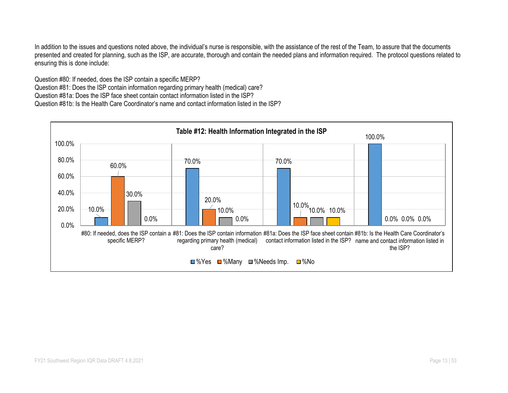In addition to the issues and questions noted above, the individual's nurse is responsible, with the assistance of the rest of the Team, to assure that the documents presented and created for planning, such as the ISP, are accurate, thorough and contain the needed plans and information required. The protocol questions related to ensuring this is done include:

Question #80: If needed, does the ISP contain a specific MERP? Question #81: Does the ISP contain information regarding primary health (medical) care? Question #81a: Does the ISP face sheet contain contact information listed in the ISP? Question #81b: Is the Health Care Coordinator's name and contact information listed in the ISP?

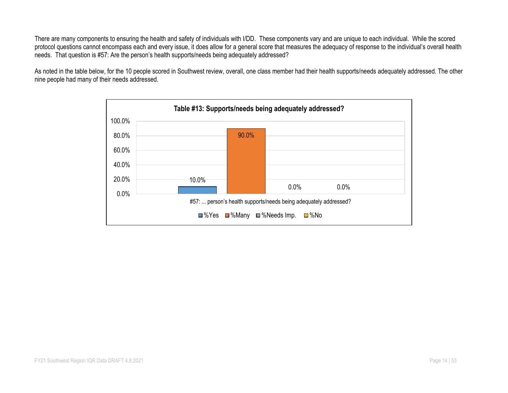There are many components to ensuring the health and safety of individuals with I/DD. These components vary and are unique to each individual. While the scored protocol questions cannot encompass each and every issue, it does allow for a general score that measures the adequacy of response to the individual's overall health needs. That question is #57: Are the person's health supports/needs being adequately addressed?

As noted in the table below, for the 10 people scored in Southwest review, overall, one class member had their health supports/needs adequately addressed. The other nine people had many of their needs addressed.

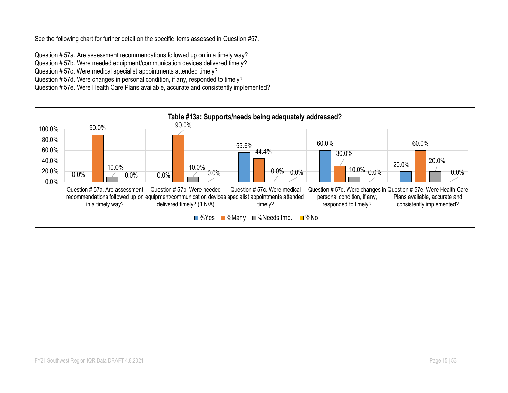See the following chart for further detail on the specific items assessed in Question #57.

Question # 57a. Are assessment recommendations followed up on in a timely way? Question # 57b. Were needed equipment/communication devices delivered timely? Question # 57c. Were medical specialist appointments attended timely? Question # 57d. Were changes in personal condition, if any, responded to timely? Question # 57e. Were Health Care Plans available, accurate and consistently implemented?

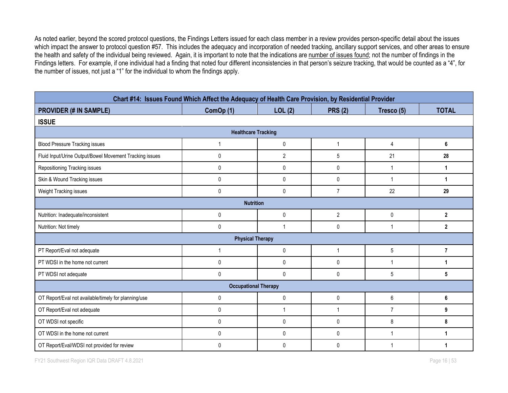As noted earlier, beyond the scored protocol questions, the Findings Letters issued for each class member in a review provides person-specific detail about the issues which impact the answer to protocol question #57. This includes the adequacy and incorporation of needed tracking, ancillary support services, and other areas to ensure the health and safety of the individual being reviewed. Again, it is important to note that the indications are number of issues found; not the number of findings in the Findings letters. For example, if one individual had a finding that noted four different inconsistencies in that person's seizure tracking, that would be counted as a "4", for the number of issues, not just a "1" for the individual to whom the findings apply.

| Chart #14: Issues Found Which Affect the Adequacy of Health Care Provision, by Residential Provider |                             |                |                |                 |                |  |  |  |  |  |  |
|-----------------------------------------------------------------------------------------------------|-----------------------------|----------------|----------------|-----------------|----------------|--|--|--|--|--|--|
| <b>PROVIDER (# IN SAMPLE)</b>                                                                       | ComOp (1)                   | LOL(2)         | <b>PRS (2)</b> | Tresco (5)      | <b>TOTAL</b>   |  |  |  |  |  |  |
| <b>ISSUE</b>                                                                                        |                             |                |                |                 |                |  |  |  |  |  |  |
| <b>Healthcare Tracking</b>                                                                          |                             |                |                |                 |                |  |  |  |  |  |  |
| <b>Blood Pressure Tracking issues</b>                                                               | 1                           | $\mathbf 0$    | $\overline{1}$ | $\overline{4}$  | 6              |  |  |  |  |  |  |
| Fluid Input/Urine Output/Bowel Movement Tracking issues                                             | $\Omega$                    | $\overline{2}$ | 5              | 21              | 28             |  |  |  |  |  |  |
| Repositioning Tracking issues                                                                       | 0                           | 0              | 0              | $\mathbf 1$     | 1              |  |  |  |  |  |  |
| Skin & Wound Tracking issues                                                                        | 0                           | $\mathbf{0}$   | $\mathbf{0}$   |                 | 1              |  |  |  |  |  |  |
| Weight Tracking issues                                                                              | $\Omega$                    | $\mathbf{0}$   | $\overline{7}$ | 22              | 29             |  |  |  |  |  |  |
|                                                                                                     | <b>Nutrition</b>            |                |                |                 |                |  |  |  |  |  |  |
| Nutrition: Inadequate/inconsistent                                                                  | $\mathbf 0$                 | $\mathbf 0$    | $\overline{2}$ | 0               | $\mathbf 2$    |  |  |  |  |  |  |
| Nutrition: Not timely                                                                               | $\mathbf{0}$                | 1              | 0              | 1               | $\mathbf{2}$   |  |  |  |  |  |  |
|                                                                                                     | <b>Physical Therapy</b>     |                |                |                 |                |  |  |  |  |  |  |
| PT Report/Eval not adequate                                                                         |                             | 0              | $\overline{1}$ | $5\phantom{.0}$ | $\overline{7}$ |  |  |  |  |  |  |
| PT WDSI in the home not current                                                                     | $\Omega$                    | $\mathbf{0}$   | $\Omega$       | $\overline{1}$  | 1              |  |  |  |  |  |  |
| PT WDSI not adequate                                                                                | $\mathbf{0}$                | $\mathbf{0}$   | $\mathbf{0}$   | 5               | 5              |  |  |  |  |  |  |
|                                                                                                     | <b>Occupational Therapy</b> |                |                |                 |                |  |  |  |  |  |  |
| OT Report/Eval not available/timely for planning/use                                                | 0                           | $\mathbf 0$    | 0              | 6               | 6              |  |  |  |  |  |  |
| OT Report/Eval not adequate                                                                         | 0                           | 1              | 1              | $\overline{7}$  | 9              |  |  |  |  |  |  |
| OT WDSI not specific                                                                                | $\mathbf{0}$                | $\mathbf{0}$   | $\Omega$       | 8               | 8              |  |  |  |  |  |  |
| OT WDSI in the home not current                                                                     | $\mathbf{0}$                | $\mathbf 0$    | $\mathbf{0}$   | -1              | 1              |  |  |  |  |  |  |
| OT Report/Eval/WDSI not provided for review                                                         | $\Omega$                    | $\Omega$       | $\Omega$       |                 | 1              |  |  |  |  |  |  |

FY21 Southwest Region IQR Data DRAFT 4.8.2021 **Page 16** | 53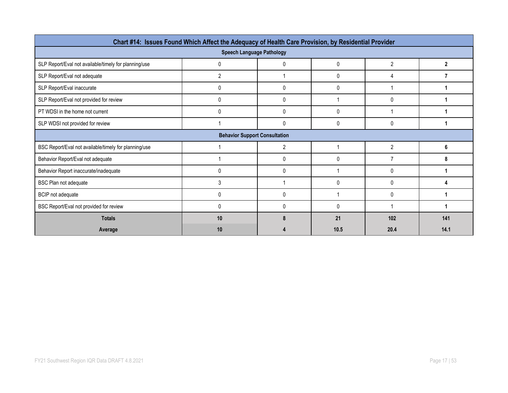| Chart #14: Issues Found Which Affect the Adequacy of Health Care Provision, by Residential Provider               |                                      |                |             |                |      |  |  |  |  |  |
|-------------------------------------------------------------------------------------------------------------------|--------------------------------------|----------------|-------------|----------------|------|--|--|--|--|--|
| <b>Speech Language Pathology</b>                                                                                  |                                      |                |             |                |      |  |  |  |  |  |
| $\overline{2}$<br>SLP Report/Eval not available/timely for planning/use<br>0<br>$\mathbf{0}$<br>$\mathbf{2}$<br>0 |                                      |                |             |                |      |  |  |  |  |  |
| SLP Report/Eval not adequate                                                                                      | 2                                    |                | 0           | 4              |      |  |  |  |  |  |
| SLP Report/Eval inaccurate                                                                                        | 0                                    | 0              | $\mathbf 0$ |                |      |  |  |  |  |  |
| SLP Report/Eval not provided for review                                                                           | 0                                    | 0              |             | 0              |      |  |  |  |  |  |
| PT WDSI in the home not current                                                                                   | 0                                    | 0              | 0           |                |      |  |  |  |  |  |
| SLP WDSI not provided for review                                                                                  |                                      | 0              | 0           | 0              |      |  |  |  |  |  |
|                                                                                                                   | <b>Behavior Support Consultation</b> |                |             |                |      |  |  |  |  |  |
| BSC Report/Eval not available/timely for planning/use                                                             |                                      | $\overline{2}$ |             | $\overline{2}$ | 6    |  |  |  |  |  |
| Behavior Report/Eval not adequate                                                                                 |                                      | 0              | 0           |                | 8    |  |  |  |  |  |
| Behavior Report inaccurate/inadequate                                                                             | 0                                    | 0              |             | $\Omega$       |      |  |  |  |  |  |
| BSC Plan not adequate                                                                                             | 3                                    |                | $\Omega$    | $\Omega$       |      |  |  |  |  |  |
| BCIP not adequate                                                                                                 | 0                                    | 0              |             | $\Omega$       |      |  |  |  |  |  |
| BSC Report/Eval not provided for review                                                                           | 0                                    | 0              | $\Omega$    |                |      |  |  |  |  |  |
| <b>Totals</b>                                                                                                     | 10                                   | 8              | 21          | 102            | 141  |  |  |  |  |  |
| Average                                                                                                           | 10                                   |                | 10.5        | 20.4           | 14.1 |  |  |  |  |  |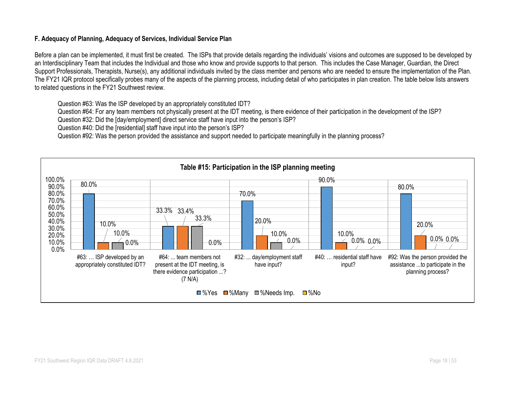#### **F. Adequacy of Planning, Adequacy of Services, Individual Service Plan**

Before a plan can be implemented, it must first be created. The ISPs that provide details regarding the individuals' visions and outcomes are supposed to be developed by an Interdisciplinary Team that includes the Individual and those who know and provide supports to that person. This includes the Case Manager, Guardian, the Direct Support Professionals, Therapists, Nurse(s), any additional individuals invited by the class member and persons who are needed to ensure the implementation of the Plan. The FY21 IQR protocol specifically probes many of the aspects of the planning process, including detail of who participates in plan creation. The table below lists answers to related questions in the FY21 Southwest review.

Question #63: Was the ISP developed by an appropriately constituted IDT?

Question #64: For any team members not physically present at the IDT meeting, is there evidence of their participation in the development of the ISP?

Question #32: Did the [day/employment] direct service staff have input into the person's ISP?

Question #40: Did the [residential] staff have input into the person's ISP?

Question #92: Was the person provided the assistance and support needed to participate meaningfully in the planning process?

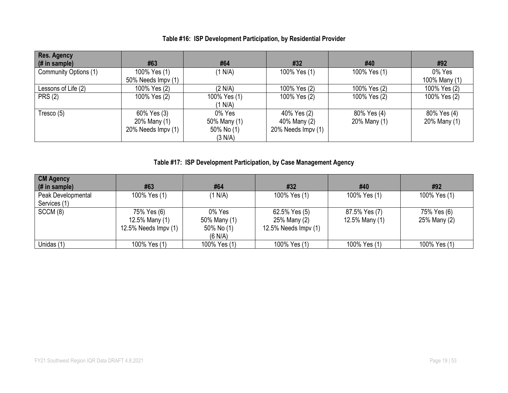|  |  |  |  |  | Table #16: ISP Development Participation, by Residential Provider |
|--|--|--|--|--|-------------------------------------------------------------------|
|--|--|--|--|--|-------------------------------------------------------------------|

| <b>Res. Agency</b><br>(# in sample) | #63                | #64          | #32                | #40          | #92           |
|-------------------------------------|--------------------|--------------|--------------------|--------------|---------------|
| Community Options (1)               | 100% Yes (1)       | (1 N/A)      | 100% Yes (1)       | 100% Yes (1) | 0% Yes        |
|                                     | 50% Needs Impv (1) |              |                    |              | 100% Many (1) |
| Lessons of Life (2)                 | 100% Yes (2)       | (2 N/A)      | 100% Yes (2)       | 100% Yes (2) | 100% Yes (2)  |
| <b>PRS (2)</b>                      | 100% Yes (2)       | 100% Yes (1) | 100% Yes (2)       | 100% Yes (2) | 100% Yes (2)  |
|                                     |                    | (1 N/A)      |                    |              |               |
| Tresco $(5)$                        | 60% Yes (3)        | 0% Yes       | 40% Yes (2)        | 80% Yes (4)  | 80% Yes (4)   |
|                                     | 20% Many (1)       | 50% Many (1) | 40% Many (2)       | 20% Many (1) | 20% Many (1)  |
|                                     | 20% Needs Impv (1) | 50% No (1)   | 20% Needs Impv (1) |              |               |
|                                     |                    | (3 N/A)      |                    |              |               |

# **Table #17: ISP Development Participation, by Case Management Agency**

| <b>CM Agency</b>   |                      |              |                       |                |              |
|--------------------|----------------------|--------------|-----------------------|----------------|--------------|
| $#$ in sample)     | #63                  | #64          | #32                   | #40            | #92          |
| Peak Developmental | 100% Yes (1)         | (1 N/A)      | 100% Yes (1)          | 100% Yes (1)   | 100% Yes (1) |
| Services (1)       |                      |              |                       |                |              |
| SCCM (8)           | 75% Yes (6)          | 0% Yes       | 62.5% Yes (5)         | 87.5% Yes (7)  | 75% Yes (6)  |
|                    | 12.5% Many (1)       | 50% Many (1) | 25% Many (2)          | 12.5% Many (1) | 25% Many (2) |
|                    | 12.5% Needs Impv (1) | 50% No (1)   | 12.5% Needs $Impv(1)$ |                |              |
|                    |                      | (6 N/A)      |                       |                |              |
| Unidas (1)         | 100% Yes (1)         | 100% Yes (1) | 100% Yes (1)          | 100% Yes (1)   | 100% Yes (1) |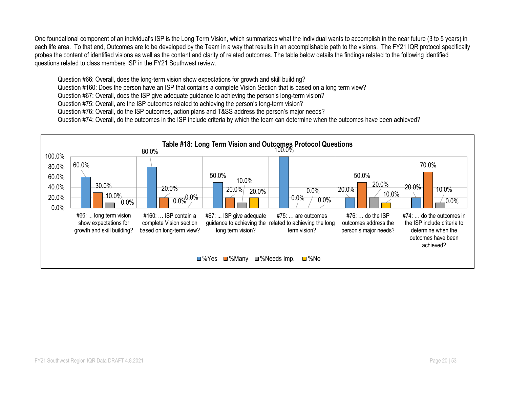One foundational component of an individual's ISP is the Long Term Vision, which summarizes what the individual wants to accomplish in the near future (3 to 5 years) in each life area. To that end, Outcomes are to be developed by the Team in a way that results in an accomplishable path to the visions. The FY21 IQR protocol specifically probes the content of identified visions as well as the content and clarity of related outcomes. The table below details the findings related to the following identified questions related to class members ISP in the FY21 Southwest review.

Question #66: Overall, does the long-term vision show expectations for growth and skill building?

Question #160: Does the person have an ISP that contains a complete Vision Section that is based on a long term view?

Question #67: Overall, does the ISP give adequate guidance to achieving the person's long-term vision?

Question #75: Overall, are the ISP outcomes related to achieving the person's long-term vision?

Question #76: Overall, do the ISP outcomes, action plans and T&SS address the person's major needs?

Question #74: Overall, do the outcomes in the ISP include criteria by which the team can determine when the outcomes have been achieved?

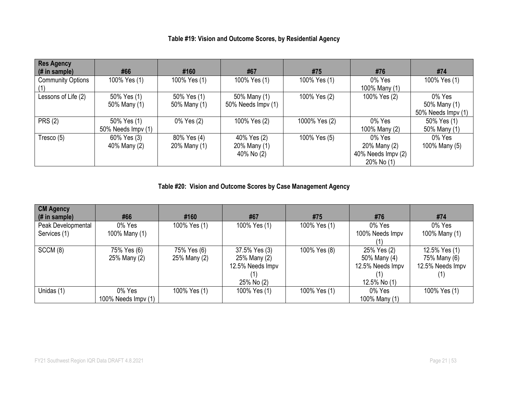| Table #19: Vision and Outcome Scores, by Residential Agency |  |  |
|-------------------------------------------------------------|--|--|
|-------------------------------------------------------------|--|--|

| <b>Res Agency</b>        |                    |              |                    |               |                    |                    |
|--------------------------|--------------------|--------------|--------------------|---------------|--------------------|--------------------|
| $#$ in sample)           | #66                | #160         | #67                | #75           | #76                | #74                |
| <b>Community Options</b> | 100% Yes (1)       | 100% Yes (1) | 100% Yes (1)       | 100% Yes (1)  | 0% Yes             | 100% Yes (1)       |
|                          |                    |              |                    |               | 100% Many (1)      |                    |
| Lessons of Life (2)      | 50% Yes (1)        | 50% Yes (1)  | 50% Many (1)       | 100% Yes (2)  | 100% Yes (2)       | 0% Yes             |
|                          | 50% Many (1)       | 50% Many (1) | 50% Needs Impv (1) |               |                    | 50% Many (1)       |
|                          |                    |              |                    |               |                    | 50% Needs Impv (1) |
| <b>PRS (2)</b>           | 50% Yes (1)        | 0% Yes (2)   | 100% Yes (2)       | 1000% Yes (2) | 0% Yes             | 50% Yes (1)        |
|                          | 50% Needs Impv (1) |              |                    |               | 100% Many (2)      | 50% Many (1)       |
| Tresco $(5)$             | 60% Yes (3)        | 80% Yes (4)  | 40% Yes (2)        | 100% Yes (5)  | 0% Yes             | 0% Yes             |
|                          | 40% Many (2)       | 20% Many (1) | 20% Many (1)       |               | 20% Many (2)       | 100% Many (5)      |
|                          |                    |              | 40% No (2)         |               | 40% Needs Impv (2) |                    |
|                          |                    |              |                    |               | 20% No (1)         |                    |

**Table #20: Vision and Outcome Scores by Case Management Agency**

| <b>CM Agency</b><br>$($ # in sample) | #66                           | #160                        | #67                                                             | #75          | #76                                                             | #74                                               |
|--------------------------------------|-------------------------------|-----------------------------|-----------------------------------------------------------------|--------------|-----------------------------------------------------------------|---------------------------------------------------|
| Peak Developmental<br>Services (1)   | 0% Yes<br>100% Many (1)       | 100% Yes (1)                | 100% Yes (1)                                                    | 100% Yes (1) | 0% Yes<br>100% Needs Impv                                       | 0% Yes<br>100% Many (1)                           |
| SCCM(8)                              | 75% Yes (6)<br>25% Many (2)   | 75% Yes (6)<br>25% Many (2) | 37.5% Yes (3)<br>25% Many (2)<br>12.5% Needs Impv<br>25% No (2) | 100% Yes (8) | 25% Yes (2)<br>50% Many (4)<br>12.5% Needs Impv<br>12.5% No (1) | 12.5% Yes (1)<br>75% Many (6)<br>12.5% Needs Impv |
| Unidas (1)                           | 0% Yes<br>100% Needs Impy (1) | 100% Yes (1)                | 100% Yes (1)                                                    | 100% Yes (1) | 0% Yes<br>100% Many (1)                                         | 100% Yes (1)                                      |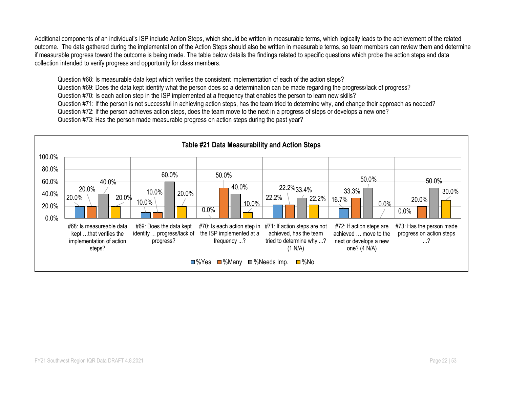Additional components of an individual's ISP include Action Steps, which should be written in measurable terms, which logically leads to the achievement of the related outcome. The data gathered during the implementation of the Action Steps should also be written in measurable terms, so team members can review them and determine if measurable progress toward the outcome is being made. The table below details the findings related to specific questions which probe the action steps and data collection intended to verify progress and opportunity for class members.

Question #68: Is measurable data kept which verifies the consistent implementation of each of the action steps?

Question #69: Does the data kept identify what the person does so a determination can be made regarding the progress/lack of progress?

Question #70: Is each action step in the ISP implemented at a frequency that enables the person to learn new skills?

Question #71: If the person is not successful in achieving action steps, has the team tried to determine why, and change their approach as needed?

Question #72: If the person achieves action steps, does the team move to the next in a progress of steps or develops a new one?

Question #73: Has the person made measurable progress on action steps during the past year?

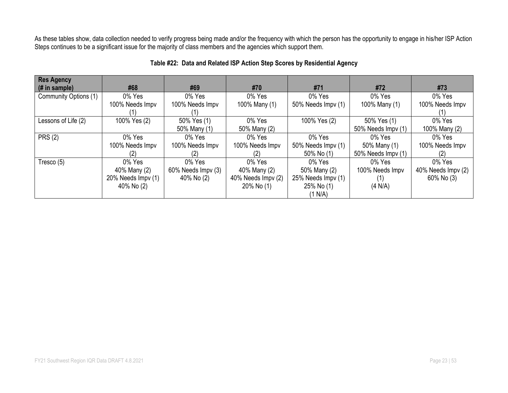As these tables show, data collection needed to verify progress being made and/or the frequency with which the person has the opportunity to engage in his/her ISP Action Steps continues to be a significant issue for the majority of class members and the agencies which support them.

| <b>Res Agency</b><br>$#$ in sample) | #68                | #69                | #70                | #71                | #72                | #73                |
|-------------------------------------|--------------------|--------------------|--------------------|--------------------|--------------------|--------------------|
| Community Options (1)               | 0% Yes             | 0% Yes             | 0% Yes             | 0% Yes             | 0% Yes             | 0% Yes             |
|                                     | 100% Needs Impv    | 100% Needs Impv    | 100% Many (1)      | 50% Needs Impv (1) | 100% Many (1)      | 100% Needs Impv    |
|                                     |                    |                    |                    |                    |                    | (1)                |
| Lessons of Life (2)                 | 100% Yes (2)       | 50% Yes (1)        | 0% Yes             | 100% Yes (2)       | 50% Yes (1)        | 0% Yes             |
|                                     |                    | 50% Many (1)       | 50% Many (2)       |                    | 50% Needs Impv (1) | 100% Many (2)      |
| <b>PRS (2)</b>                      | 0% Yes             | 0% Yes             | $0\%$ Yes          | 0% Yes             | 0% Yes             | 0% Yes             |
|                                     | 100% Needs Impv    | 100% Needs Impv    | 100% Needs Impv    | 50% Needs Impv (1) | 50% Many (1)       | 100% Needs Impv    |
|                                     |                    |                    | (2)                | 50% No (1)         | 50% Needs Impv (1) | (2)                |
| Tresco (5)                          | 0% Yes             | 0% Yes             | 0% Yes             | 0% Yes             | 0% Yes             | 0% Yes             |
|                                     | 40% Many (2)       | 60% Needs Impv (3) | 40% Many (2)       | 50% Many (2)       | 100% Needs Impv    | 40% Needs Impv (2) |
|                                     | 20% Needs Impv (1) | 40% No (2)         | 40% Needs Impv (2) | 25% Needs Impv (1) |                    | 60% No (3)         |
|                                     | 40% No (2)         |                    | 20% No (1)         | 25% No (1)         | (4 N/A)            |                    |
|                                     |                    |                    |                    | (1 N/A)            |                    |                    |

#### **Table #22: Data and Related ISP Action Step Scores by Residential Agency**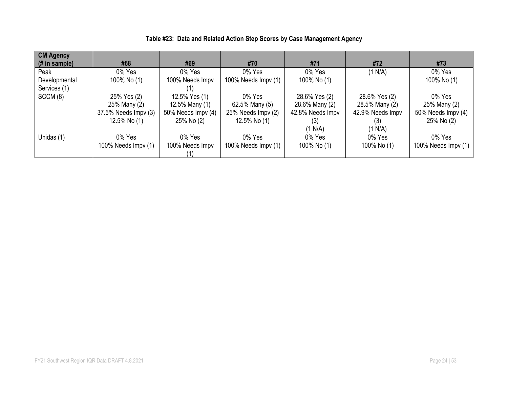| <b>CM Agency</b><br>$#$ in sample) | #68                  | #69                | #70                 | #71              | #72              | #73                 |
|------------------------------------|----------------------|--------------------|---------------------|------------------|------------------|---------------------|
| Peak                               | 0% Yes               | 0% Yes             | 0% Yes              | 0% Yes           | (1 N/A)          | 0% Yes              |
| Developmental                      | 100% No (1)          | 100% Needs Impv    | 100% Needs Impv (1) | 100% No (1)      |                  | 100% No (1)         |
| Services (1)                       |                      | (1                 |                     |                  |                  |                     |
| SCCM (8)                           | 25% Yes (2)          | 12.5% Yes (1)      | 0% Yes              | 28.6% Yes (2)    | 28.6% Yes (2)    | 0% Yes              |
|                                    | 25% Many (2)         | 12.5% Many (1)     | 62.5% Many (5)      | 28.6% Many (2)   | 28.5% Many (2)   | 25% Many (2)        |
|                                    | 37.5% Needs Impv (3) | 50% Needs Impv (4) | 25% Needs Impv (2)  | 42.8% Needs Impv | 42.9% Needs Impv | 50% Needs Impv (4)  |
|                                    | 12.5% No (1)         | 25% No (2)         | 12.5% No (1)        | (3)              | (3)              | 25% No (2)          |
|                                    |                      |                    |                     | (1 N/A)          | (1 N/A)          |                     |
| Unidas (1)                         | 0% Yes               | 0% Yes             | 0% Yes              | 0% Yes           | 0% Yes           | 0% Yes              |
|                                    | 100% Needs Impv (1)  | 100% Needs Impv    | 100% Needs Impv (1) | 100% No (1)      | 100% No (1)      | 100% Needs Impv (1) |
|                                    |                      |                    |                     |                  |                  |                     |

## **Table #23: Data and Related Action Step Scores by Case Management Agency**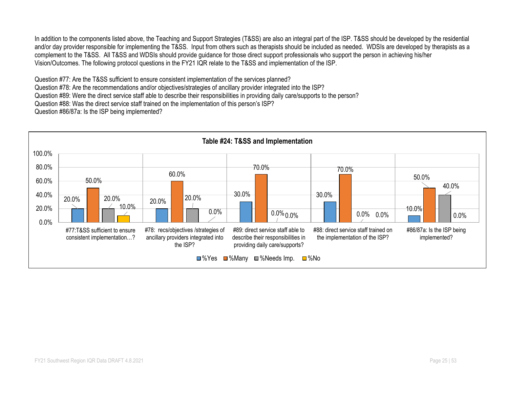In addition to the components listed above, the Teaching and Support Strategies (T&SS) are also an integral part of the ISP. T&SS should be developed by the residential and/or day provider responsible for implementing the T&SS. Input from others such as therapists should be included as needed. WDSIs are developed by therapists as a complement to the T&SS. All T&SS and WDSIs should provide guidance for those direct support professionals who support the person in achieving his/her Vision/Outcomes. The following protocol questions in the FY21 IQR relate to the T&SS and implementation of the ISP.

Question #77: Are the T&SS sufficient to ensure consistent implementation of the services planned?

Question #78: Are the recommendations and/or objectives/strategies of ancillary provider integrated into the ISP?

Question #89: Were the direct service staff able to describe their responsibilities in providing daily care/supports to the person?

Question #88: Was the direct service staff trained on the implementation of this person's ISP?

Question #86/87a: Is the ISP being implemented?

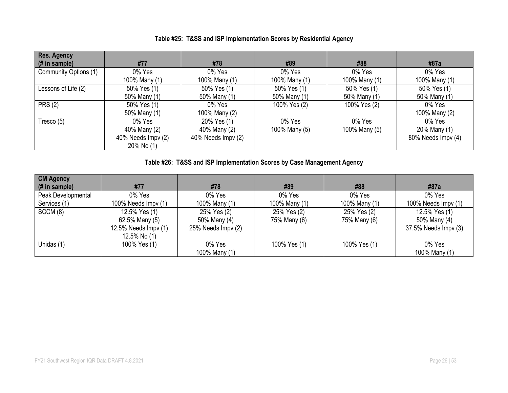| Res. Agency<br>$\#$ in sample) | #77                | #78                | #89           | #88           | #87a               |
|--------------------------------|--------------------|--------------------|---------------|---------------|--------------------|
| Community Options (1)          | 0% Yes             | 0% Yes             | 0% Yes        | 0% Yes        | 0% Yes             |
|                                | 100% Many (1)      | 100% Many (1)      | 100% Many (1) | 100% Many (1) | 100% Many (1)      |
| Lessons of Life (2)            | 50% Yes (1)        | 50% Yes (1)        | 50% Yes (1)   | 50% Yes (1)   | 50% Yes (1)        |
|                                | 50% Many (1)       | 50% Many (1)       | 50% Many (1)  | 50% Many (1)  | 50% Many (1)       |
| <b>PRS (2)</b>                 | 50% Yes (1)        | 0% Yes             | 100% Yes (2)  | 100% Yes (2)  | 0% Yes             |
|                                | 50% Many (1)       | 100% Many (2)      |               |               | 100% Many (2)      |
| Tresco $(5)$                   | 0% Yes             | 20% Yes (1)        | 0% Yes        | 0% Yes        | 0% Yes             |
|                                | 40% Many (2)       | 40% Many (2)       | 100% Many (5) | 100% Many (5) | 20% Many (1)       |
|                                | 40% Needs Impv (2) | 40% Needs Impv (2) |               |               | 80% Needs Impv (4) |
|                                | 20% No (1)         |                    |               |               |                    |

### **Table #25: T&SS and ISP Implementation Scores by Residential Agency**

## **Table #26: T&SS and ISP Implementation Scores by Case Management Agency**

| <b>CM Agency</b><br>(# in sample)  | #77                                                                     | #78                                               | #89                         | #88                         | #87a                                                  |
|------------------------------------|-------------------------------------------------------------------------|---------------------------------------------------|-----------------------------|-----------------------------|-------------------------------------------------------|
| Peak Developmental<br>Services (1) | 0% Yes<br>100% Needs $\text{Impv}(1)$                                   | 0% Yes<br>100% Many (1)                           | 0% Yes<br>100% Many (1)     | 0% Yes<br>100% Many (1)     | 0% Yes<br>100% Needs Impv (1)                         |
| SCCM(8)                            | 12.5% Yes (1)<br>62.5% Many (5)<br>12.5% Needs Impv (1)<br>12.5% No (1) | 25% Yes (2)<br>50% Many (4)<br>25% Needs Impv (2) | 25% Yes (2)<br>75% Many (6) | 25% Yes (2)<br>75% Many (6) | 12.5% Yes (1)<br>50% Many (4)<br>37.5% Needs Impv (3) |
| Unidas (1)                         | 100% Yes (1)                                                            | 0% Yes<br>100% Many (1)                           | 100% Yes (1)                | 100% Yes (1)                | 0% Yes<br>100% Many (1)                               |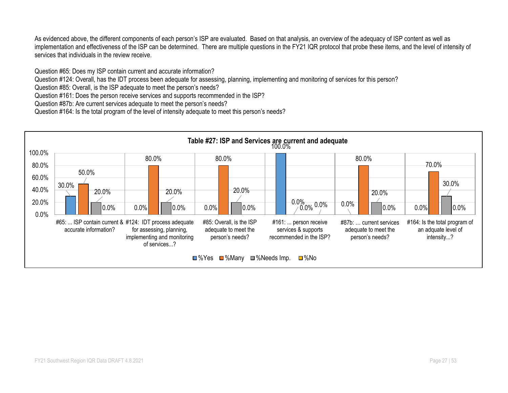As evidenced above, the different components of each person's ISP are evaluated. Based on that analysis, an overview of the adequacy of ISP content as well as implementation and effectiveness of the ISP can be determined. There are multiple questions in the FY21 IQR protocol that probe these items, and the level of intensity of services that individuals in the review receive.

Question #65: Does my ISP contain current and accurate information?

Question #124: Overall, has the IDT process been adequate for assessing, planning, implementing and monitoring of services for this person?

Question #85: Overall, is the ISP adequate to meet the person's needs?

Question #161: Does the person receive services and supports recommended in the ISP?

Question #87b: Are current services adequate to meet the person's needs?

Question #164: Is the total program of the level of intensity adequate to meet this person's needs?

![](_page_26_Figure_7.jpeg)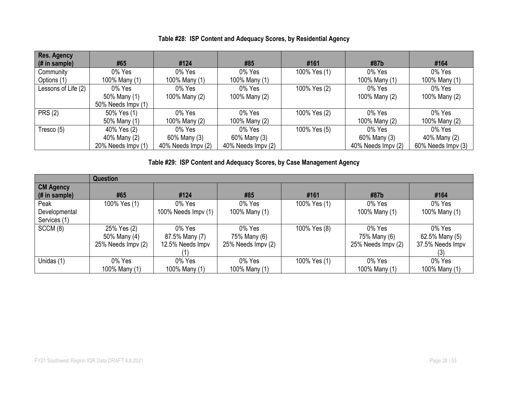| Res. Agency         |                    |                    |                    |              |                    |                    |
|---------------------|--------------------|--------------------|--------------------|--------------|--------------------|--------------------|
| $($ # in sample $)$ | #65                | #124               | #85                | #161         | #87b               | #164               |
| Community           | 0% Yes             | 0% Yes             | 0% Yes             | 100% Yes (1) | 0% Yes             | 0% Yes             |
| Options (1)         | 100% Many (1)      | 100% Many (1)      | 100% Many (1)      |              | 100% Many (1)      | 100% Many (1)      |
| Lessons of Life (2) | 0% Yes             | 0% Yes             | 0% Yes             | 100% Yes (2) | 0% Yes             | 0% Yes             |
|                     | 50% Many (1)       | 100% Many (2)      | 100% Many (2)      |              | 100% Many (2)      | 100% Many (2)      |
|                     | 50% Needs Impv (1) |                    |                    |              |                    |                    |
| <b>PRS (2)</b>      | 50% Yes (1)        | 0% Yes             | 0% Yes             | 100% Yes (2) | 0% Yes             | 0% Yes             |
|                     | 50% Many (1)       | 100% Many (2)      | 100% Many (2)      |              | 100% Many (2)      | 100% Many (2)      |
| Tresco (5)          | 40% Yes (2)        | 0% Yes             | 0% Yes             | 100% Yes (5) | 0% Yes             | 0% Yes             |
|                     | 40% Many (2)       | 60% Many (3)       | 60% Many (3)       |              | 60% Many (3)       | 40% Many (2)       |
|                     | 20% Needs Impv (1) | 40% Needs Impy (2) | 40% Needs Impv (2) |              | 40% Needs Impv (2) | 60% Needs Impv (3) |

## **Table #28: ISP Content and Adequacy Scores, by Residential Agency**

**Table #29: ISP Content and Adequacy Scores, by Case Management Agency**

|                  | Question           |                     |                    |              |                    |                  |  |  |
|------------------|--------------------|---------------------|--------------------|--------------|--------------------|------------------|--|--|
| <b>CM Agency</b> |                    |                     |                    |              |                    |                  |  |  |
| $#$ in sample)   | #65                | #124                | #85                | #161         | #87b               | #164             |  |  |
| Peak             | 100% Yes (1)       | 0% Yes              | 0% Yes             | 100% Yes (1) | 0% Yes             | 0% Yes           |  |  |
| Developmental    |                    | 100% Needs Impv (1) | 100% Many (1)      |              | 100% Many (1)      | 100% Many (1)    |  |  |
| Services (1)     |                    |                     |                    |              |                    |                  |  |  |
| SCCM(8)          | 25% Yes (2)        | 0% Yes              | 0% Yes             | 100% Yes (8) | 0% Yes             | 0% Yes           |  |  |
|                  | 50% Many (4)       | 87.5% Many (7)      | 75% Many (6)       |              | 75% Many (6)       | 62.5% Many (5)   |  |  |
|                  | 25% Needs Impv (2) | 12.5% Needs Impv    | 25% Needs Impv (2) |              | 25% Needs Impv (2) | 37.5% Needs Impv |  |  |
|                  |                    |                     |                    |              |                    | (3)              |  |  |
| Unidas (1)       | 0% Yes             | 0% Yes              | 0% Yes             | 100% Yes (1) | 0% Yes             | 0% Yes           |  |  |
|                  | 100% Many (1)      | 100% Many (1)       | 100% Many (1)      |              | 100% Many (1)      | 100% Many (1)    |  |  |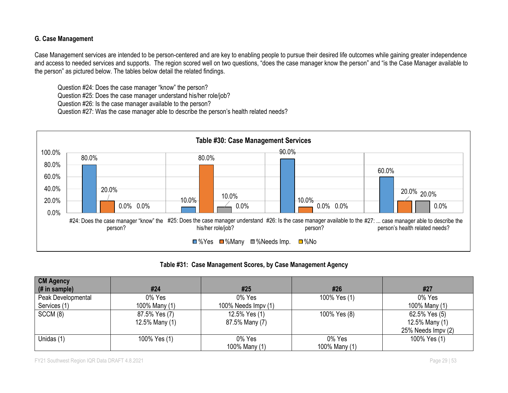#### **G. Case Management**

Case Management services are intended to be person-centered and are key to enabling people to pursue their desired life outcomes while gaining greater independence and access to needed services and supports. The region scored well on two questions, "does the case manager know the person" and "is the Case Manager available to the person" as pictured below. The tables below detail the related findings.

Question #24: Does the case manager "know" the person?

Question #25: Does the case manager understand his/her role/job?

Question #26: Is the case manager available to the person?

Question #27: Was the case manager able to describe the person's health related needs?

![](_page_28_Figure_6.jpeg)

**Table #31: Case Management Scores, by Case Management Agency**

| <b>CM Agency</b>   |                |                     |               |                    |
|--------------------|----------------|---------------------|---------------|--------------------|
| (# in sample)      | #24            | #25                 | #26           | #27                |
| Peak Developmental | 0% Yes         | 0% Yes              | 100% Yes (1)  | 0% Yes             |
| Services (1)       | 100% Many (1)  | 100% Needs Impv (1) |               | 100% Many (1)      |
| SCCM (8)           | 87.5% Yes (7)  | 12.5% Yes (1)       | 100% Yes (8)  | 62.5% Yes (5)      |
|                    | 12.5% Many (1) | 87.5% Many (7)      |               | 12.5% Many (1)     |
|                    |                |                     |               | 25% Needs Impv (2) |
| Unidas (1)         | 100% Yes (1)   | 0% Yes              | 0% Yes        | 100% Yes (1)       |
|                    |                | 100% Many (1)       | 100% Many (1) |                    |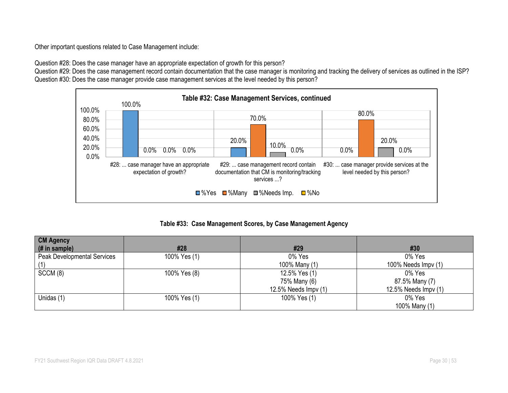Other important questions related to Case Management include:

Question #28: Does the case manager have an appropriate expectation of growth for this person?

Question #29: Does the case management record contain documentation that the case manager is monitoring and tracking the delivery of services as outlined in the ISP? Question #30: Does the case manager provide case management services at the level needed by this person?

![](_page_29_Figure_3.jpeg)

**Table #33: Case Management Scores, by Case Management Agency**

| <b>CM Agency</b>            |              |                      |                      |
|-----------------------------|--------------|----------------------|----------------------|
| (# in sample)               | #28          | #29                  | #30                  |
| Peak Developmental Services | 100% Yes (1) | 0% Yes               | 0% Yes               |
|                             |              | 100% Many (1)        | 100% Needs Impv (1)  |
| SCCM(8)                     | 100% Yes (8) | 12.5% Yes (1)        | 0% Yes               |
|                             |              | 75% Many (6)         | 87.5% Many (7)       |
|                             |              | 12.5% Needs Impv (1) | 12.5% Needs Impv (1) |
| Unidas (1)                  | 100% Yes (1) | 100% Yes (1)         | 0% Yes               |
|                             |              |                      | 100% Many (1)        |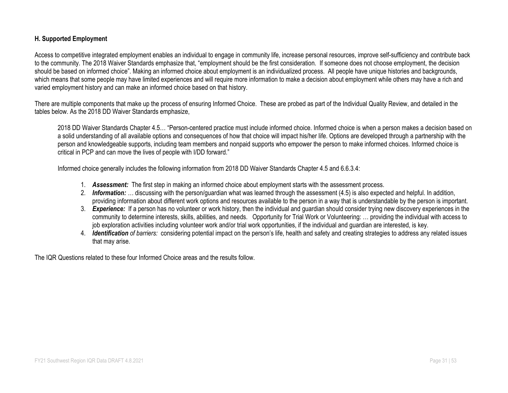#### **H. Supported Employment**

Access to competitive integrated employment enables an individual to engage in community life, increase personal resources, improve self-sufficiency and contribute back to the community. The 2018 Waiver Standards emphasize that, "employment should be the first consideration. If someone does not choose employment, the decision should be based on informed choice". Making an informed choice about employment is an individualized process. All people have unique histories and backgrounds, which means that some people may have limited experiences and will require more information to make a decision about employment while others may have a rich and varied employment history and can make an informed choice based on that history.

There are multiple components that make up the process of ensuring Informed Choice. These are probed as part of the Individual Quality Review, and detailed in the tables below. As the 2018 DD Waiver Standards emphasize,

2018 DD Waiver Standards Chapter 4.5… "Person-centered practice must include informed choice. Informed choice is when a person makes a decision based on a solid understanding of all available options and consequences of how that choice will impact his/her life. Options are developed through a partnership with the person and knowledgeable supports, including team members and nonpaid supports who empower the person to make informed choices. Informed choice is critical in PCP and can move the lives of people with I/DD forward."

Informed choice generally includes the following information from 2018 DD Waiver Standards Chapter 4.5 and 6.6.3.4:

- 1. *Assessment:* The first step in making an informed choice about employment starts with the assessment process.
- 2. *Information: …* discussing with the person/guardian what was learned through the assessment (4.5) is also expected and helpful. In addition, providing information about different work options and resources available to the person in a way that is understandable by the person is important.
- 3. *Experience:* If a person has no volunteer or work history, then the individual and guardian should consider trying new discovery experiences in the community to determine interests, skills, abilities, and needs. Opportunity for Trial Work or Volunteering: … providing the individual with access to job exploration activities including volunteer work and/or trial work opportunities, if the individual and guardian are interested, is key.
- 4. *Identification of barriers:* considering potential impact on the person's life, health and safety and creating strategies to address any related issues that may arise.

The IQR Questions related to these four Informed Choice areas and the results follow.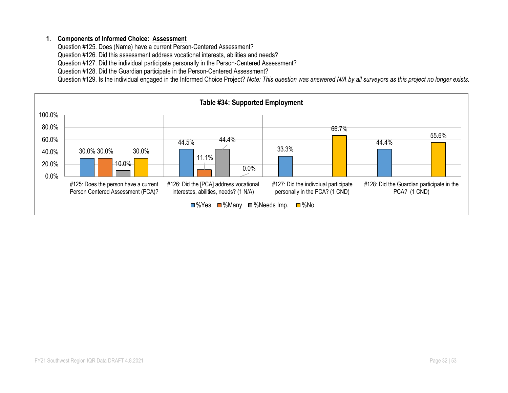#### **1. Components of Informed Choice: Assessment**

Question #125. Does (Name) have a current Person-Centered Assessment?

Question #126. Did this assessment address vocational interests, abilities and needs?

Question #127. Did the individual participate personally in the Person-Centered Assessment?

Question #128. Did the Guardian participate in the Person-Centered Assessment?

Question #129. Is the individual engaged in the Informed Choice Project? *Note: This question was answered N/A by all surveyors as this project no longer exists.*

![](_page_31_Figure_6.jpeg)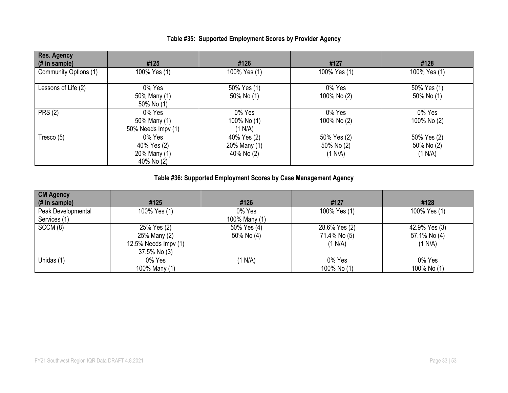| <b>Res. Agency</b><br>(# in sample) | #125                                                | #126                                      | #127                                 | #128                                 |
|-------------------------------------|-----------------------------------------------------|-------------------------------------------|--------------------------------------|--------------------------------------|
| Community Options (1)               | 100% Yes (1)                                        | 100% Yes (1)                              | 100% Yes (1)                         | 100% Yes (1)                         |
| Lessons of Life (2)                 | 0% Yes<br>50% Many (1)<br>50% No (1)                | 50% Yes (1)<br>50% No (1)                 | 0% Yes<br>100% No (2)                | 50% Yes (1)<br>50% No (1)            |
| <b>PRS (2)</b>                      | 0% Yes<br>50% Many (1)<br>50% Needs Impv (1)        | 0% Yes<br>100% No (1)<br>(1 N/A)          | 0% Yes<br>100% No (2)                | 0% Yes<br>100% No (2)                |
| Tresco $(5)$                        | 0% Yes<br>40% Yes (2)<br>20% Many (1)<br>40% No (2) | 40% Yes (2)<br>20% Many (1)<br>40% No (2) | 50% Yes (2)<br>50% No (2)<br>(1 N/A) | 50% Yes (2)<br>50% No (2)<br>(1 N/A) |

#### **Table #35: Supported Employment Scores by Provider Agency**

## **Table #36: Supported Employment Scores by Case Management Agency**

| <b>CM Agency</b>                |                      |               |               |               |
|---------------------------------|----------------------|---------------|---------------|---------------|
| $(H \in \mathbb{R})$ in sample) | #125                 | #126          | #127          | #128          |
| Peak Developmental              | 100% Yes (1)         | 0% Yes        | 100% Yes (1)  | 100% Yes (1)  |
| Services (1)                    |                      | 100% Many (1) |               |               |
| SCCM(8)                         | 25% Yes (2)          | 50% Yes (4)   | 28.6% Yes (2) | 42.9% Yes (3) |
|                                 | 25% Many (2)         | 50% No (4)    | 71.4% No (5)  | 57.1% No (4)  |
|                                 | 12.5% Needs Impv (1) |               | (1 N/A)       | (1 N/A)       |
|                                 | 37.5% No (3)         |               |               |               |
| Unidas (1)                      | 0% Yes               | (1 N/A)       | 0% Yes        | 0% Yes        |
|                                 | 100% Many (1)        |               | 100% No (1)   | 100% No (1)   |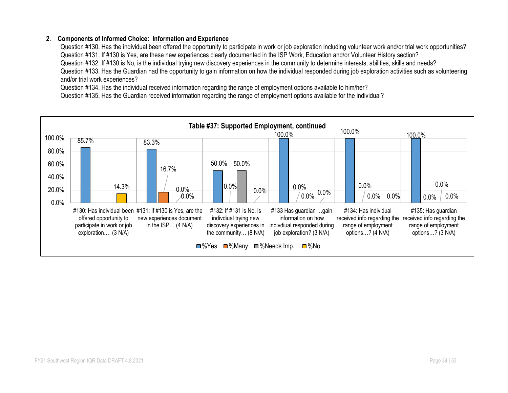#### **2. Components of Informed Choice: Information and Experience**

Question #130. Has the individual been offered the opportunity to participate in work or job exploration including volunteer work and/or trial work opportunities? Question #131. If #130 is Yes, are these new experiences clearly documented in the ISP Work, Education and/or Volunteer History section? Question #132. If #130 is No, is the individual trying new discovery experiences in the community to determine interests, abilities, skills and needs? Question #133. Has the Guardian had the opportunity to gain information on how the individual responded during job exploration activities such as volunteering and/or trial work experiences?

Question #134. Has the individual received information regarding the range of employment options available to him/her?

Question #135. Has the Guardian received information regarding the range of employment options available for the individual?

![](_page_33_Figure_4.jpeg)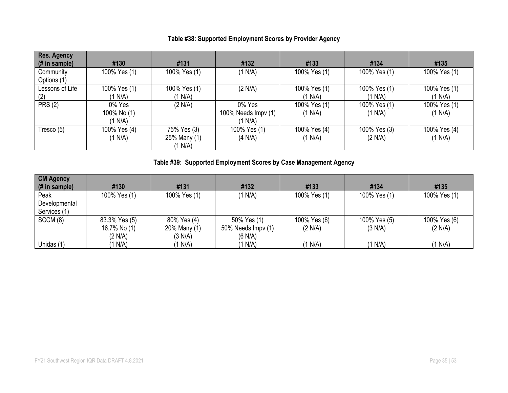| <b>Res. Agency</b><br>$#$ in sample) | #130         | #131         | #132                | #133         | #134         | #135         |
|--------------------------------------|--------------|--------------|---------------------|--------------|--------------|--------------|
| Community                            | 100% Yes (1) | 100% Yes (1) | (1 N/A)             | 100% Yes (1) | 100% Yes (1) | 100% Yes (1) |
| Options (1)                          |              |              |                     |              |              |              |
| Lessons of Life                      | 100% Yes (1) | 100% Yes (1) | (2 N/A)             | 100% Yes (1) | 100% Yes (1) | 100% Yes (1) |
| (2)                                  | '1 N/A)      | (1 N/A)      |                     | (1 N/A)      | (1 N/A)      | (1 N/A)      |
| <b>PRS (2)</b>                       | 0% Yes       | (2 N/A)      | 0% Yes              | 100% Yes (1) | 100% Yes (1) | 100% Yes (1) |
|                                      | 100% No (1)  |              | 100% Needs Impv (1) | (1 N/A)      | (1 N/A)      | (1 N/A)      |
|                                      | (1 N/A)      |              | (1 N/A)             |              |              |              |
| Tresco (5)                           | 100% Yes (4) | 75% Yes (3)  | 100% Yes (1)        | 100% Yes (4) | 100% Yes (3) | 100% Yes (4) |
|                                      | (1 N/A)      | 25% Many (1) | (4 N/A)             | (1 N/A)      | (2 N/A)      | (1 N/A)      |
|                                      |              | (1 N/A)      |                     |              |              |              |

## **Table #38: Supported Employment Scores by Provider Agency**

**Table #39: Supported Employment Scores by Case Management Agency**

| <b>CM Agency</b> |               |              |                    |              |              |              |
|------------------|---------------|--------------|--------------------|--------------|--------------|--------------|
| (# in sample)    | #130          | #131         | #132               | #133         | #134         | #135         |
| Peak             | 100% Yes (1)  | 100% Yes (1) | (1 N/A)            | 100% Yes (1) | 100% Yes (1) | 100% Yes (1) |
| Developmental    |               |              |                    |              |              |              |
| Services (1)     |               |              |                    |              |              |              |
| SCCM (8)         | 83.3% Yes (5) | 80% Yes (4)  | 50% Yes (1)        | 100% Yes (6) | 100% Yes (5) | 100% Yes (6) |
|                  | 16.7% No (1)  | 20% Many (1) | 50% Needs Impv (1) | (2 N/A)      | (3 N/A)      | (2 N/A)      |
|                  | (2 N/A)       | (3 N/A)      | (6 N/A)            |              |              |              |
| Unidas (1)       | I N/A)        | 1 N/A)       | (1 N/A)            | (1 N/A)      | (1 N/A)      | (1 N/A)      |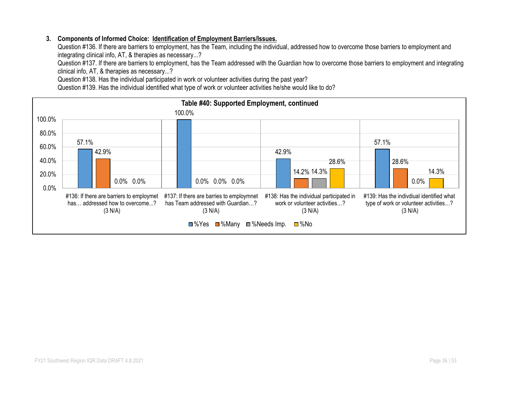#### **3. Components of Informed Choice: Identification of Employment Barriers/Issues.**

Question #136. If there are barriers to employment, has the Team, including the individual, addressed how to overcome those barriers to employment and integrating clinical info, AT, & therapies as necessary...?

Question #137. If there are barriers to employment, has the Team addressed with the Guardian how to overcome those barriers to employment and integrating clinical info, AT, & therapies as necessary...?

Question #138. Has the individual participated in work or volunteer activities during the past year?

Question #139. Has the individual identified what type of work or volunteer activities he/she would like to do?

![](_page_35_Figure_5.jpeg)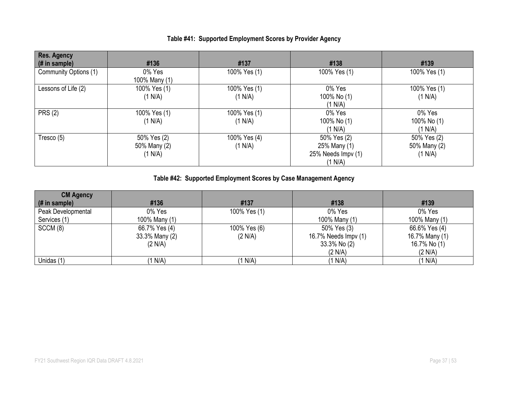| <b>Res. Agency</b><br>$#$ in sample) | #136                                   | #137                    | #138                                                         | #139                                   |
|--------------------------------------|----------------------------------------|-------------------------|--------------------------------------------------------------|----------------------------------------|
| Community Options (1)                | 0% Yes<br>100% Many (1)                | 100% Yes (1)            | 100% Yes (1)                                                 | 100% Yes (1)                           |
| Lessons of Life (2)                  | 100% Yes (1)<br>(1 N/A)                | 100% Yes (1)<br>(1 N/A) | 0% Yes<br>100% No (1)<br>(1 N/A)                             | 100% Yes (1)<br>(1 N/A)                |
| <b>PRS (2)</b>                       | 100% Yes (1)<br>(1 N/A)                | 100% Yes (1)<br>(1 N/A) | 0% Yes<br>100% No (1)<br>(1 N/A)                             | 0% Yes<br>100% No (1)<br>(1 N/A)       |
| Tresco (5)                           | 50% Yes (2)<br>50% Many (2)<br>(1 N/A) | 100% Yes (4)<br>(1 N/A) | 50% Yes (2)<br>25% Many (1)<br>25% Needs Impv (1)<br>(1 N/A) | 50% Yes (2)<br>50% Many (2)<br>(1 N/A) |

### **Table #41: Supported Employment Scores by Provider Agency**

## **Table #42: Supported Employment Scores by Case Management Agency**

| <b>CM Agency</b>   |                |              |                      |                |
|--------------------|----------------|--------------|----------------------|----------------|
| (# in sample)      | #136           | #137         | #138                 | #139           |
| Peak Developmental | 0% Yes         | 100% Yes (1) | 0% Yes               | 0% Yes         |
| Services (1)       | 100% Many (1)  |              | 100% Many (1)        | 100% Many (1)  |
| SCCM (8)           | 66.7% Yes (4)  | 100% Yes (6) | 50% Yes (3)          | 66.6% Yes (4)  |
|                    | 33.3% Many (2) | (2 N/A)      | 16.7% Needs Impv (1) | 16.7% Many (1) |
|                    | (2 N/A)        |              | 33.3% No (2)         | 16.7% No (1)   |
|                    |                |              | (2 N/A)              | (2 N/A)        |
| Unidas (1)         | (1 N/A)        | 1 N/A        | (1 N/A)              | (1 N/A)        |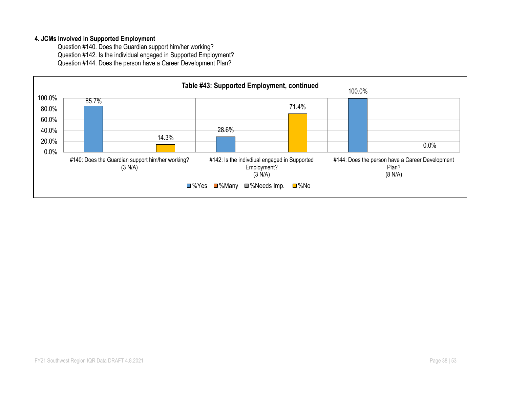#### **4. JCMs Involved in Supported Employment**

Question #140. Does the Guardian support him/her working? Question #142. Is the individual engaged in Supported Employment? Question #144. Does the person have a Career Development Plan?

![](_page_37_Figure_2.jpeg)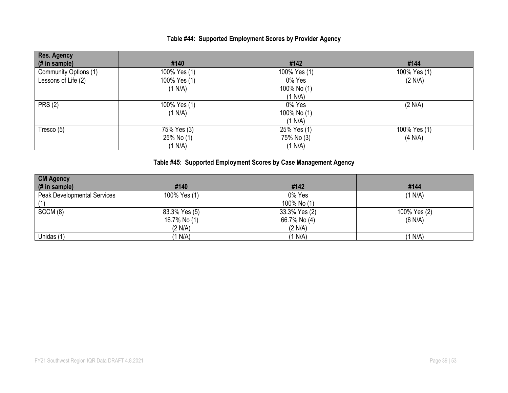### **Table #44: Supported Employment Scores by Provider Agency**

| <b>Res. Agency</b>    |              |              |              |
|-----------------------|--------------|--------------|--------------|
| (# in sample)         | #140         | #142         | #144         |
| Community Options (1) | 100% Yes (1) | 100% Yes (1) | 100% Yes (1) |
| Lessons of Life (2)   | 100% Yes (1) | 0% Yes       | (2 N/A)      |
|                       | (1 N/A)      | 100% No (1)  |              |
|                       |              | (1 N/A)      |              |
| <b>PRS (2)</b>        | 100% Yes (1) | 0% Yes       | (2 N/A)      |
|                       | (1 N/A)      | 100% No (1)  |              |
|                       |              | (1 N/A)      |              |
| Tresco (5)            | 75% Yes (3)  | 25% Yes (1)  | 100% Yes (1) |
|                       | 25% No (1)   | 75% No (3)   | (4 N/A)      |
|                       | (1 N/A)      | (1 N/A)      |              |

## **Table #45: Supported Employment Scores by Case Management Agency**

| <b>CM Agency</b>            |               |               |              |
|-----------------------------|---------------|---------------|--------------|
| (# in sample)               | #140          | #142          | #144         |
| Peak Developmental Services | 100% Yes (1)  | 0% Yes        | (1 N/A)      |
|                             |               | 100% No (1)   |              |
| SCCM(8)                     | 83.3% Yes (5) | 33.3% Yes (2) | 100% Yes (2) |
|                             | 16.7% No (1)  | 66.7% No (4)  | (6 N/A)      |
|                             | (2 N/A)       | (2 N/A)       |              |
| Unidas (1)                  | (1 N/A)       | (1 N/A)       | (1 N/A)      |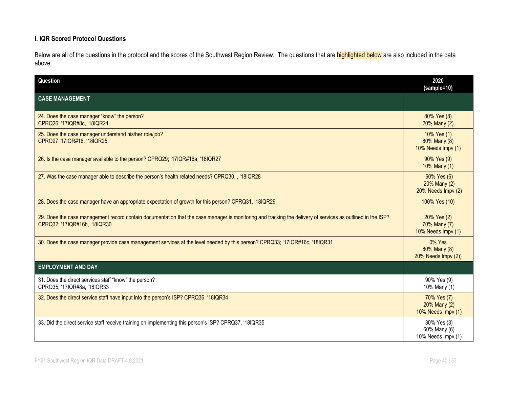#### **I. IQR Scored Protocol Questions**

Below are all of the questions in the protocol and the scores of the Southwest Region Review. The questions that are **highlighted below** are also included in the data above.

| Question                                                                                                                                                                                    | 2020<br>(sample=10)                               |
|---------------------------------------------------------------------------------------------------------------------------------------------------------------------------------------------|---------------------------------------------------|
| <b>CASE MANAGEMENT</b>                                                                                                                                                                      |                                                   |
| 24. Does the case manager "know" the person?<br>CPRQ26; '17IQR#8c, '18IQR24                                                                                                                 | 80% Yes (8)<br>20% Many (2)                       |
| 25. Does the case manager understand his/her role/job?<br>CPRQ27 '17IQR#16, '18IQR25                                                                                                        | 10% Yes (1)<br>80% Many (8)<br>10% Needs Impv (1) |
| 26. Is the case manager available to the person? CPRQ29; '17IQR#16a, '18IQR27                                                                                                               | 90% Yes (9)<br>10% Many (1)                       |
| 27. Was the case manager able to describe the person's health related needs? CPRQ30, , '18IQR28                                                                                             | 60% Yes (6)<br>20% Many (2)<br>20% Needs Impv (2) |
| 28. Does the case manager have an appropriate expectation of growth for this person? CPRQ31, '18IQR29                                                                                       | 100% Yes (10)                                     |
| 29. Does the case management record contain documentation that the case manager is monitoring and tracking the delivery of services as outlined in the ISP?<br>CPRQ32; '17IQR#16b, '18IQR30 | 20% Yes (2)<br>70% Many (7)<br>10% Needs Impv (1) |
| 30. Does the case manager provide case management services at the level needed by this person? CPRQ33; '17IQR#16c, '18IQR31                                                                 | $0\%$ Yes<br>80% Many (8)<br>20% Needs Impv (2))  |
| <b>EMPLOYMENT AND DAY</b>                                                                                                                                                                   |                                                   |
| 31. Does the direct services staff "know" the person?<br>CPRQ35; '17IQR#8a, '18IQR33                                                                                                        | 90% Yes (9)<br>10% Many (1)                       |
| 32. Does the direct service staff have input into the person's ISP? CPRQ36, '18IQR34                                                                                                        | 70% Yes (7)<br>20% Many (2)<br>10% Needs Impv (1) |
| 33. Did the direct service staff receive training on implementing this person's ISP? CPRQ37, '18IQR35                                                                                       | 30% Yes (3)<br>60% Many (6)<br>10% Needs Impv (1) |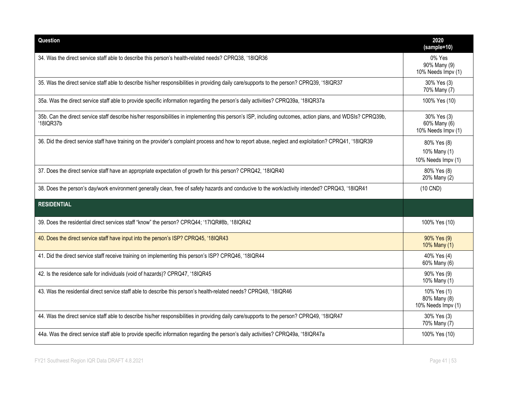| Question                                                                                                                                                                  | 2020<br>$(sample=10)$                             |
|---------------------------------------------------------------------------------------------------------------------------------------------------------------------------|---------------------------------------------------|
| 34. Was the direct service staff able to describe this person's health-related needs? CPRQ38, '18IQR36                                                                    | 0% Yes<br>90% Many (9)<br>10% Needs Impv (1)      |
| 35. Was the direct service staff able to describe his/her responsibilities in providing daily care/supports to the person? CPRQ39, '18IQR37                               | 30% Yes (3)<br>70% Many (7)                       |
| 35a. Was the direct service staff able to provide specific information regarding the person's daily activities? CPRQ39a, '18IQR37a                                        | 100% Yes (10)                                     |
| 35b. Can the direct service staff describe his/her responsibilities in implementing this person's ISP, including outcomes, action plans, and WDSIs? CPRQ39b,<br>'18IQR37b | 30% Yes (3)<br>60% Many (6)<br>10% Needs Impv (1) |
| 36. Did the direct service staff have training on the provider's complaint process and how to report abuse, neglect and exploitation? CPRQ41, '18IQR39                    | 80% Yes (8)<br>10% Many (1)<br>10% Needs Impv (1) |
| 37. Does the direct service staff have an appropriate expectation of growth for this person? CPRQ42, '18IQR40                                                             | 80% Yes (8)<br>20% Many (2)                       |
| 38. Does the person's day/work environment generally clean, free of safety hazards and conducive to the work/activity intended? CPRQ43, '18IQR41                          | $(10$ CND)                                        |
| <b>RESIDENTIAL</b>                                                                                                                                                        |                                                   |
| 39. Does the residential direct services staff "know" the person? CPRQ44; '17IQR#8b, '18IQR42                                                                             | 100% Yes (10)                                     |
| 40. Does the direct service staff have input into the person's ISP? CPRQ45, '18IQR43                                                                                      | 90% Yes (9)<br>10% Many (1)                       |
| 41. Did the direct service staff receive training on implementing this person's ISP? CPRQ46, '18IQR44                                                                     | 40% Yes (4)<br>60% Many (6)                       |
| 42. Is the residence safe for individuals (void of hazards)? CPRQ47, '18IQR45                                                                                             | 90% Yes (9)<br>10% Many (1)                       |
| 43. Was the residential direct service staff able to describe this person's health-related needs? CPRQ48, '18IQR46                                                        | 10% Yes (1)<br>80% Many (8)<br>10% Needs Impv (1) |
| 44. Was the direct service staff able to describe his/her responsibilities in providing daily care/supports to the person? CPRQ49, '18IQR47                               | 30% Yes (3)<br>70% Many (7)                       |
| 44a. Was the direct service staff able to provide specific information regarding the person's daily activities? CPRQ49a, '18IQR47a                                        | 100% Yes (10)                                     |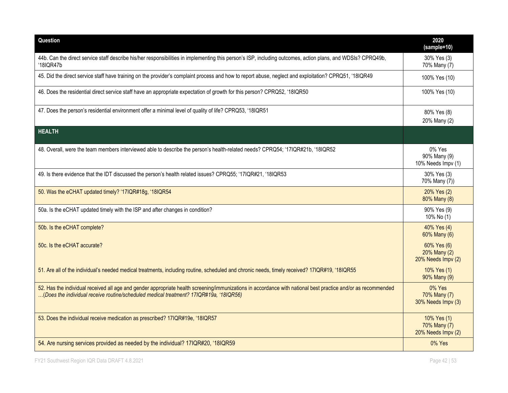| Question                                                                                                                                                                                                                                                | 2020<br>(sample=10)                               |
|---------------------------------------------------------------------------------------------------------------------------------------------------------------------------------------------------------------------------------------------------------|---------------------------------------------------|
| 44b. Can the direct service staff describe his/her responsibilities in implementing this person's ISP, including outcomes, action plans, and WDSIs? CPRQ49b,<br>'18IQR47b                                                                               | 30% Yes (3)<br>70% Many (7)                       |
| 45. Did the direct service staff have training on the provider's complaint process and how to report abuse, neglect and exploitation? CPRQ51, '18IQR49                                                                                                  | 100% Yes (10)                                     |
| 46. Does the residential direct service staff have an appropriate expectation of growth for this person? CPRQ52, '18IQR50                                                                                                                               | 100% Yes (10)                                     |
| 47. Does the person's residential environment offer a minimal level of quality of life? CPRQ53, '18IQR51                                                                                                                                                | 80% Yes (8)<br>20% Many (2)                       |
| <b>HEALTH</b>                                                                                                                                                                                                                                           |                                                   |
| 48. Overall, were the team members interviewed able to describe the person's health-related needs? CPRQ54; '17IQR#21b, '18IQR52                                                                                                                         | 0% Yes<br>90% Many (9)<br>10% Needs Impv (1)      |
| 49. Is there evidence that the IDT discussed the person's health related issues? CPRQ55; '17IQR#21, '18IQR53                                                                                                                                            | 30% Yes (3)<br>70% Many (7))                      |
| 50. Was the eCHAT updated timely? '17IQR#18g, '18IQR54                                                                                                                                                                                                  | 20% Yes (2)<br>80% Many (8)                       |
| 50a. Is the eCHAT updated timely with the ISP and after changes in condition?                                                                                                                                                                           | 90% Yes (9)<br>10% No (1)                         |
| 50b. Is the eCHAT complete?                                                                                                                                                                                                                             | 40% Yes (4)<br>60% Many (6)                       |
| 50c. Is the eCHAT accurate?                                                                                                                                                                                                                             | 60% Yes (6)<br>20% Many (2)<br>20% Needs Impv (2) |
| 51. Are all of the individual's needed medical treatments, including routine, scheduled and chronic needs, timely received? 17IQR#19, '18IQR55                                                                                                          | 10% Yes (1)<br>90% Many (9)                       |
| 52. Has the individual received all age and gender appropriate health screening/immunizations in accordance with national best practice and/or as recommended<br>(Does the individual receive routine/scheduled medical treatment? 17IQR#19a, '18IQR56) | 0% Yes<br>70% Many (7)<br>30% Needs Impv (3)      |
| 53. Does the individual receive medication as prescribed? 17IQR#19e, '18IQR57                                                                                                                                                                           | 10% Yes (1)<br>70% Many (7)<br>20% Needs Impv (2) |
| 54. Are nursing services provided as needed by the individual? 17IQR#20, '18IQR59                                                                                                                                                                       | $0\%$ Yes                                         |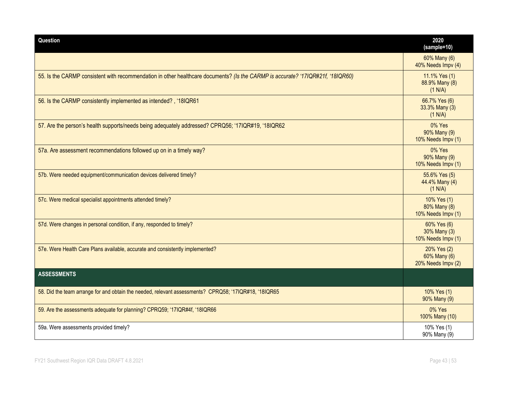| Question                                                                                                                        | 2020<br>(sample=10)                               |
|---------------------------------------------------------------------------------------------------------------------------------|---------------------------------------------------|
|                                                                                                                                 | 60% Many (6)<br>40% Needs Impv (4)                |
| 55. Is the CARMP consistent with recommendation in other healthcare documents? (Is the CARMP is accurate? '17IQR#21f, '18IQR60) | 11.1% Yes (1)<br>88.9% Many (8)<br>(1 N/A)        |
| 56. Is the CARMP consistently implemented as intended?, '18IQR61                                                                | 66.7% Yes (6)<br>33.3% Many (3)<br>(1 N/A)        |
| 57. Are the person's health supports/needs being adequately addressed? CPRQ56; '17IQR#19, '18IQR62                              | 0% Yes<br>90% Many (9)<br>10% Needs Impv (1)      |
| 57a. Are assessment recommendations followed up on in a timely way?                                                             | 0% Yes<br>90% Many (9)<br>10% Needs Impv (1)      |
| 57b. Were needed equipment/communication devices delivered timely?                                                              | 55.6% Yes (5)<br>44.4% Many (4)<br>(1 N/A)        |
| 57c. Were medical specialist appointments attended timely?                                                                      | 10% Yes (1)<br>80% Many (8)<br>10% Needs Impv (1) |
| 57d. Were changes in personal condition, if any, responded to timely?                                                           | 60% Yes (6)<br>30% Many (3)<br>10% Needs Impv (1) |
| 57e. Were Health Care Plans available, accurate and consistently implemented?                                                   | 20% Yes (2)<br>60% Many (6)<br>20% Needs Impv (2) |
| <b>ASSESSMENTS</b>                                                                                                              |                                                   |
| 58. Did the team arrange for and obtain the needed, relevant assessments? CPRQ58; '17IQR#18, '18IQR65                           | 10% Yes (1)<br>90% Many (9)                       |
| 59. Are the assessments adequate for planning? CPRQ59; '17IQR#4f, '18IQR66                                                      | 0% Yes<br>100% Many (10)                          |
| 59a. Were assessments provided timely?                                                                                          | 10% Yes (1)<br>90% Many (9)                       |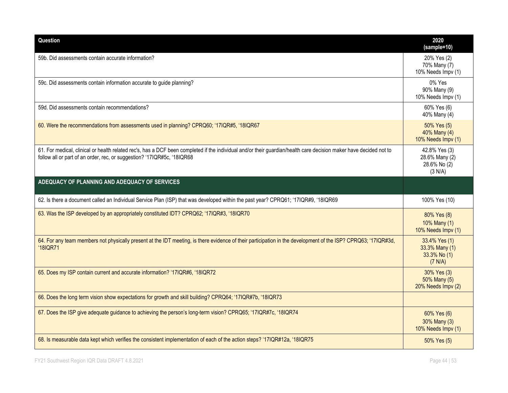| Question                                                                                                                                                                                                                                      | 2020<br>(sample=10)                                        |
|-----------------------------------------------------------------------------------------------------------------------------------------------------------------------------------------------------------------------------------------------|------------------------------------------------------------|
| 59b. Did assessments contain accurate information?                                                                                                                                                                                            | 20% Yes (2)<br>70% Many (7)<br>10% Needs Impv (1)          |
| 59c. Did assessments contain information accurate to guide planning?                                                                                                                                                                          | 0% Yes<br>90% Many (9)<br>10% Needs Impv (1)               |
| 59d. Did assessments contain recommendations?                                                                                                                                                                                                 | 60% Yes (6)<br>40% Many (4)                                |
| 60. Were the recommendations from assessments used in planning? CPRQ60; '17IQR#5, '18IQR67                                                                                                                                                    | 50% Yes (5)<br>40% Many (4)<br>10% Needs Impv (1)          |
| 61. For medical, clinical or health related rec's, has a DCF been completed if the individual and/or their guardian/health care decision maker have decided not to<br>follow all or part of an order, rec, or suggestion? '17IQR#5c, '18IQR68 | 42.8% Yes (3)<br>28.6% Many (2)<br>28.6% No (2)<br>(3 N/A) |
| ADEQUACY OF PLANNING AND ADEQUACY OF SERVICES                                                                                                                                                                                                 |                                                            |
| 62. Is there a document called an Individual Service Plan (ISP) that was developed within the past year? CPRQ61; '17IQR#9, '18IQR69                                                                                                           | 100% Yes (10)                                              |
| 63. Was the ISP developed by an appropriately constituted IDT? CPRQ62; '17IQR#3, '18IQR70                                                                                                                                                     | 80% Yes (8)<br>10% Many (1)<br>10% Needs Impv (1)          |
| 64. For any team members not physically present at the IDT meeting, is there evidence of their participation in the development of the ISP? CPRQ63; '17IQR#3d,<br>'18IQR71                                                                    | 33.4% Yes (1)<br>33.3% Many (1)<br>33.3% No (1)<br>(7 N/A) |
| 65. Does my ISP contain current and accurate information? '17IQR#6, '18IQR72                                                                                                                                                                  | 30% Yes (3)<br>50% Many (5)<br>20% Needs Impv (2)          |
| 66. Does the long term vision show expectations for growth and skill building? CPRQ64; '17IQR#7b, '18IQR73                                                                                                                                    |                                                            |
| 67. Does the ISP give adequate guidance to achieving the person's long-term vision? CPRQ65; '17IQR#7c, '18IQR74                                                                                                                               | 60% Yes (6)<br>30% Many (3)<br>10% Needs Impv (1)          |
| 68. Is measurable data kept which verifies the consistent implementation of each of the action steps? '17IQR#12a, '18IQR75                                                                                                                    | 50% Yes (5)                                                |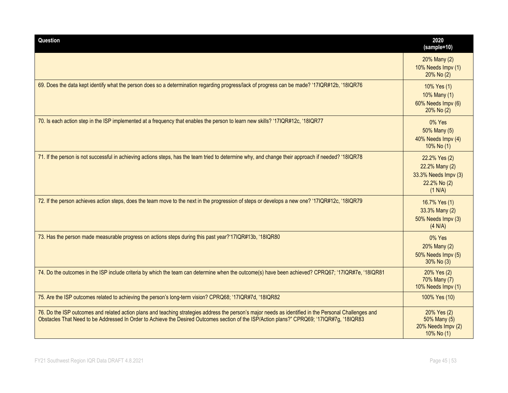| Question                                                                                                                                                                                                                                                                                             | 2020<br>(sample=10)                                                                |
|------------------------------------------------------------------------------------------------------------------------------------------------------------------------------------------------------------------------------------------------------------------------------------------------------|------------------------------------------------------------------------------------|
|                                                                                                                                                                                                                                                                                                      | 20% Many (2)<br>10% Needs Impv (1)<br>20% No (2)                                   |
| 69. Does the data kept identify what the person does so a determination regarding progress/lack of progress can be made? '17IQR#12b, '18IQR76                                                                                                                                                        | 10% Yes (1)<br>10% Many (1)<br>60% Needs Impv (6)<br>20% No (2)                    |
| 70. Is each action step in the ISP implemented at a frequency that enables the person to learn new skills? '17IQR#12c, '18IQR77                                                                                                                                                                      | 0% Yes<br>50% Many (5)<br>40% Needs Impv (4)<br>10% No (1)                         |
| 71. If the person is not successful in achieving actions steps, has the team tried to determine why, and change their approach if needed? '18IQR78                                                                                                                                                   | 22.2% Yes (2)<br>22.2% Many (2)<br>33.3% Needs Impv (3)<br>22.2% No (2)<br>(1 N/A) |
| 72. If the person achieves action steps, does the team move to the next in the progression of steps or develops a new one? '17IQR#12c, '18IQR79                                                                                                                                                      | 16.7% Yes (1)<br>33.3% Many (2)<br>50% Needs Impv (3)<br>(4 N/A)                   |
| 73. Has the person made measurable progress on actions steps during this past year?'17IQR#13b, '18IQR80                                                                                                                                                                                              | 0% Yes<br>20% Many (2)<br>50% Needs Impv (5)<br>30% No (3)                         |
| 74. Do the outcomes in the ISP include criteria by which the team can determine when the outcome(s) have been achieved? CPRQ67; '17IQR#7e, '18IQR81                                                                                                                                                  | 20% Yes (2)<br>70% Many (7)<br>10% Needs Impv (1)                                  |
| 75. Are the ISP outcomes related to achieving the person's long-term vision? CPRQ68; '17IQR#7d, '18IQR82                                                                                                                                                                                             | 100% Yes (10)                                                                      |
| 76. Do the ISP outcomes and related action plans and teaching strategies address the person's major needs as identified in the Personal Challenges and<br>Obstacles That Need to be Addressed In Order to Achieve the Desired Outcomes section of the ISP/Action plans?" CPRQ69; '17IQR#7g, '18IQR83 | 20% Yes (2)<br>50% Many (5)<br>20% Needs Impv (2)<br>10% No (1)                    |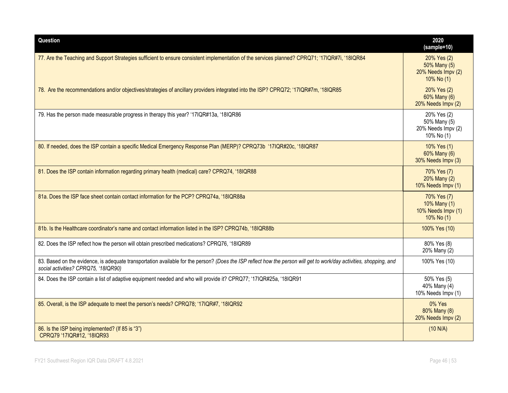| Question                                                                                                                                                                                                    | 2020<br>(sample=10)                                                |
|-------------------------------------------------------------------------------------------------------------------------------------------------------------------------------------------------------------|--------------------------------------------------------------------|
| 77. Are the Teaching and Support Strategies sufficient to ensure consistent implementation of the services planned? CPRQ71; '17IQR#7i, '18IQR84                                                             | 20% Yes (2)<br>50% Many (5)<br>20% Needs Impv (2)<br>$10\%$ No (1) |
| 78. Are the recommendations and/or objectives/strategies of ancillary providers integrated into the ISP? CPRQ72; '17IQR#7m, '18IQR85                                                                        | 20% Yes (2)<br>60% Many (6)<br>20% Needs Impv (2)                  |
| 79. Has the person made measurable progress in therapy this year? '17IQR#13a, '18IQR86                                                                                                                      | 20% Yes (2)<br>50% Many (5)<br>20% Needs Impv (2)<br>10% No (1)    |
| 80. If needed, does the ISP contain a specific Medical Emergency Response Plan (MERP)? CPRQ73b '17IQR#20c, '18IQR87                                                                                         | 10% Yes (1)<br>60% Many (6)<br>30% Needs Impv (3)                  |
| 81. Does the ISP contain information regarding primary health (medical) care? CPRQ74, '18IQR88                                                                                                              | 70% Yes (7)<br>20% Many (2)<br>10% Needs Impv (1)                  |
| 81a. Does the ISP face sheet contain contact information for the PCP? CPRQ74a, '18IQR88a                                                                                                                    | 70% Yes (7)<br>10% Many (1)<br>10% Needs Impv (1)<br>$10\%$ No (1) |
| 81b. Is the Healthcare coordinator's name and contact information listed in the ISP? CPRQ74b, '18IQR88b                                                                                                     | 100% Yes (10)                                                      |
| 82. Does the ISP reflect how the person will obtain prescribed medications? CPRQ76, '18IQR89                                                                                                                | 80% Yes (8)<br>20% Many (2)                                        |
| 83. Based on the evidence, is adequate transportation available for the person? (Does the ISP reflect how the person will get to work/day activities, shopping, and<br>social activities? CPRQ75, '18IQR90) | 100% Yes (10)                                                      |
| 84. Does the ISP contain a list of adaptive equipment needed and who will provide it? CPRQ77; '17IQR#25a, '18IQR91                                                                                          | 50% Yes (5)<br>40% Many (4)<br>10% Needs Impv (1)                  |
| 85. Overall, is the ISP adequate to meet the person's needs? CPRQ78; '17IQR#7, '18IQR92                                                                                                                     | $0\%$ Yes<br>80% Many (8)<br>20% Needs Impv (2)                    |
| 86. Is the ISP being implemented? (If 85 is "3")<br>CPRQ79 '17IQR#12, '18IQR93                                                                                                                              | (10 N/A)                                                           |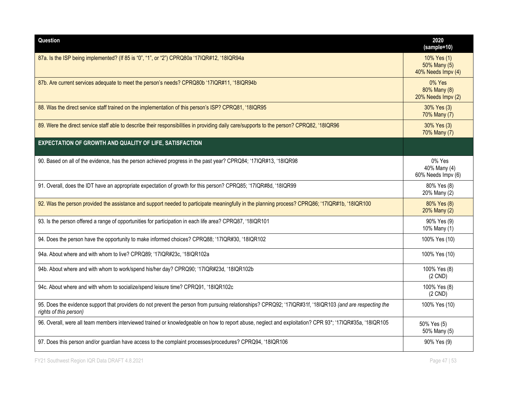| Question                                                                                                                                                                            | 2020<br>(sample=10)                               |
|-------------------------------------------------------------------------------------------------------------------------------------------------------------------------------------|---------------------------------------------------|
| 87a. Is the ISP being implemented? (If 85 is "0", "1", or "2") CPRQ80a '17IQR#12, '18IQR94a                                                                                         | 10% Yes (1)<br>50% Many (5)<br>40% Needs Impv (4) |
| 87b. Are current services adequate to meet the person's needs? CPRQ80b '17IQR#11, '18IQR94b                                                                                         | 0% Yes<br>80% Many (8)<br>20% Needs Impv (2)      |
| 88. Was the direct service staff trained on the implementation of this person's ISP? CPRQ81, '18IQR95                                                                               | 30% Yes (3)<br>70% Many (7)                       |
| 89. Were the direct service staff able to describe their responsibilities in providing daily care/supports to the person? CPRQ82, '18IQR96                                          | 30% Yes (3)<br>70% Many (7)                       |
| EXPECTATION OF GROWTH AND QUALITY OF LIFE, SATISFACTION                                                                                                                             |                                                   |
| 90. Based on all of the evidence, has the person achieved progress in the past year? CPRQ84; '17IQR#13, '18IQR98                                                                    | 0% Yes<br>40% Many (4)<br>60% Needs Impv (6)      |
| 91. Overall, does the IDT have an appropriate expectation of growth for this person? CPRQ85; '17IQR#8d, '18IQR99                                                                    | 80% Yes (8)<br>20% Many (2)                       |
| 92. Was the person provided the assistance and support needed to participate meaningfully in the planning process? CPRQ86; '17IQR#1b, '18IQR100                                     | 80% Yes (8)<br>20% Many (2)                       |
| 93. Is the person offered a range of opportunities for participation in each life area? CPRQ87, '18IQR101                                                                           | 90% Yes (9)<br>10% Many (1)                       |
| 94. Does the person have the opportunity to make informed choices? CPRQ88; '17IQR#30, '18IQR102                                                                                     | 100% Yes (10)                                     |
| 94a. About where and with whom to live? CPRQ89; '17IQR#23c, '18IQR102a                                                                                                              | 100% Yes (10)                                     |
| 94b. About where and with whom to work/spend his/her day? CPRQ90; '17IQR#23d, '18IQR102b                                                                                            | 100% Yes (8)<br>$(2$ CND)                         |
| 94c. About where and with whom to socialize/spend leisure time? CPRQ91, '18IQR102c                                                                                                  | 100% Yes (8)<br>$(2$ CND $)$                      |
| 95. Does the evidence support that providers do not prevent the person from pursuing relationships? CPRQ92; '17IQR#31f, '18IQR103 (and are respecting the<br>rights of this person) | 100% Yes (10)                                     |
| 96. Overall, were all team members interviewed trained or knowledgeable on how to report abuse, neglect and exploitation? CPR 93*; '17IQR#35a, '18IQR105                            | 50% Yes (5)<br>50% Many (5)                       |
| 97. Does this person and/or guardian have access to the complaint processes/procedures? CPRQ94, '18IQR106                                                                           | 90% Yes (9)                                       |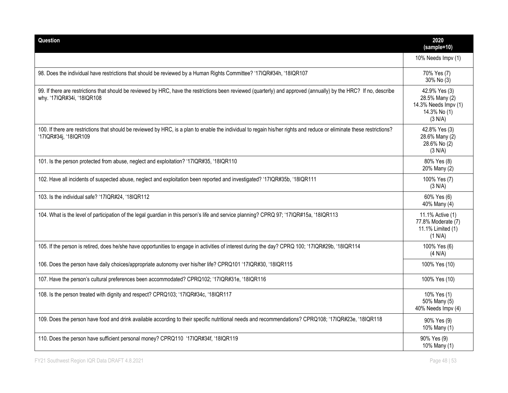| Question                                                                                                                                                                                        | 2020<br>(sample=10)                                                                |
|-------------------------------------------------------------------------------------------------------------------------------------------------------------------------------------------------|------------------------------------------------------------------------------------|
|                                                                                                                                                                                                 | 10% Needs Impv (1)                                                                 |
| 98. Does the individual have restrictions that should be reviewed by a Human Rights Committee? '17IQR#34h, '18IQR107                                                                            | 70% Yes (7)<br>30% No (3)                                                          |
| 99. If there are restrictions that should be reviewed by HRC, have the restrictions been reviewed (quarterly) and approved (annually) by the HRC? If no, describe<br>why. '17IQR#34i, '18IQR108 | 42.9% Yes (3)<br>28.5% Many (2)<br>14.3% Needs Impv (1)<br>14.3% No (1)<br>(3 N/A) |
| 100. If there are restrictions that should be reviewed by HRC, is a plan to enable the individual to regain his/her rights and reduce or eliminate these restrictions?<br>'17IQR#34j, '18IQR109 | 42.8% Yes (3)<br>28.6% Many (2)<br>28.6% No (2)<br>(3 N/A)                         |
| 101. Is the person protected from abuse, neglect and exploitation? '17IQR#35, '18IQR110                                                                                                         | 80% Yes (8)<br>20% Many (2)                                                        |
| 102. Have all incidents of suspected abuse, neglect and exploitation been reported and investigated? '17IQR#35b, '18IQR111                                                                      | 100% Yes (7)<br>(3 N/A)                                                            |
| 103. Is the individual safe? '17IQR#24, '18IQR112                                                                                                                                               | 60% Yes (6)<br>40% Many (4)                                                        |
| 104. What is the level of participation of the legal guardian in this person's life and service planning? CPRQ 97; '17IQR#15a, '18IQR113                                                        | 11.1% Active (1)<br>77.8% Moderate (7)<br>11.1% Limited (1)<br>(1 N/A)             |
| 105. If the person is retired, does he/she have opportunities to engage in activities of interest during the day? CPRQ 100; '17IQR#29b, '18IQR114                                               | 100% Yes (6)<br>(4 N/A)                                                            |
| 106. Does the person have daily choices/appropriate autonomy over his/her life? CPRQ101 '17IQR#30, '18IQR115                                                                                    | 100% Yes (10)                                                                      |
| 107. Have the person's cultural preferences been accommodated? CPRQ102; '17IQR#31e, '18IQR116                                                                                                   | 100% Yes (10)                                                                      |
| 108. Is the person treated with dignity and respect? CPRQ103; '17IQR#34c, '18IQR117                                                                                                             | 10% Yes (1)<br>50% Many (5)<br>40% Needs Impv (4)                                  |
| 109. Does the person have food and drink available according to their specific nutritional needs and recommendations? CPRQ108; '17IQR#23e, '18IQR118                                            | 90% Yes (9)<br>10% Many (1)                                                        |
| 110. Does the person have sufficient personal money? CPRQ110 '17IQR#34f, '18IQR119                                                                                                              | 90% Yes (9)<br>10% Many (1)                                                        |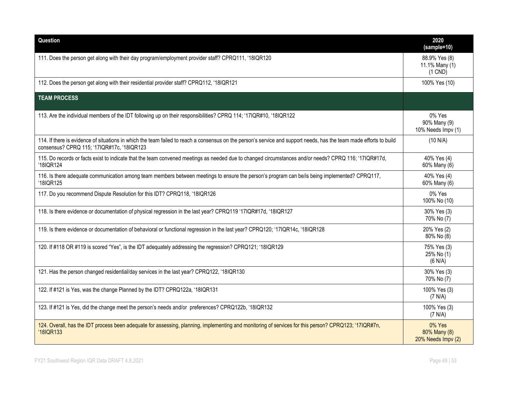| Question                                                                                                                                                                                                          | 2020<br>(sample=10)                             |
|-------------------------------------------------------------------------------------------------------------------------------------------------------------------------------------------------------------------|-------------------------------------------------|
| 111. Does the person get along with their day program/employment provider staff? CPRQ111, '18IQR120                                                                                                               | 88.9% Yes (8)<br>11.1% Many (1)<br>$(1$ CND $)$ |
| 112. Does the person get along with their residential provider staff? CPRQ112, '18IQR121                                                                                                                          | 100% Yes (10)                                   |
| <b>TEAM PROCESS</b>                                                                                                                                                                                               |                                                 |
| 113. Are the individual members of the IDT following up on their responsibilities? CPRQ 114; '17IQR#10, '18IQR122                                                                                                 | 0% Yes<br>90% Many (9)<br>10% Needs Impv (1)    |
| 114. If there is evidence of situations in which the team failed to reach a consensus on the person's service and support needs, has the team made efforts to build<br>consensus? CPRQ 115; '17IQR#17c, '18IQR123 | (10 N/A)                                        |
| 115. Do records or facts exist to indicate that the team convened meetings as needed due to changed circumstances and/or needs? CPRQ 116; '17IQR#17d,<br>'18IQR124                                                | 40% Yes (4)<br>60% Many (6)                     |
| 116. Is there adequate communication among team members between meetings to ensure the person's program can be/is being implemented? CPRQ117,<br>'18IQR125                                                        | 40% Yes (4)<br>60% Many (6)                     |
| 117. Do you recommend Dispute Resolution for this IDT? CPRQ118, '18IQR126                                                                                                                                         | 0% Yes<br>100% No (10)                          |
| 118. Is there evidence or documentation of physical regression in the last year? CPRQ119 '17IQR#17d, '18IQR127                                                                                                    | 30% Yes (3)<br>70% No (7)                       |
| 119. Is there evidence or documentation of behavioral or functional regression in the last year? CPRQ120; '17IQR14c, '18IQR128                                                                                    | 20% Yes (2)<br>80% No (8)                       |
| 120. If #118 OR #119 is scored "Yes", is the IDT adequately addressing the regression? CPRQ121; '18IQR129                                                                                                         | 75% Yes (3)<br>25% No (1)<br>(6 N/A)            |
| 121. Has the person changed residential/day services in the last year? CPRQ122, '18IQR130                                                                                                                         | 30% Yes (3)<br>70% No (7)                       |
| 122. If #121 is Yes, was the change Planned by the IDT? CPRQ122a, '18IQR131                                                                                                                                       | 100% Yes (3)<br>(7 N/A)                         |
| 123. If #121 is Yes, did the change meet the person's needs and/or preferences? CPRQ122b, '18IQR132                                                                                                               | 100% Yes (3)<br>(7 N/A)                         |
| 124. Overall, has the IDT process been adequate for assessing, planning, implementing and monitoring of services for this person? CPRQ123; '17IQR#7n,<br>'18IQR133                                                | 0% Yes<br>80% Many (8)<br>20% Needs Impv (2)    |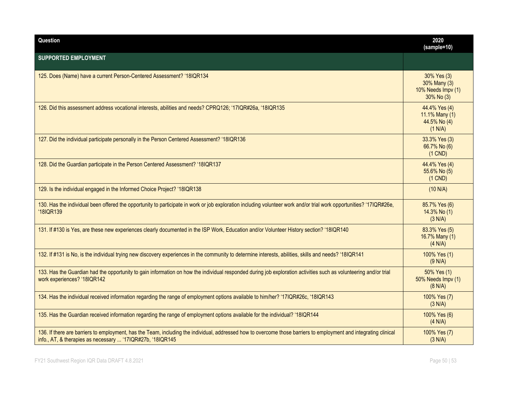| Question                                                                                                                                                                                                                        | 2020<br>(sample=10)                                             |
|---------------------------------------------------------------------------------------------------------------------------------------------------------------------------------------------------------------------------------|-----------------------------------------------------------------|
| <b>SUPPORTED EMPLOYMENT</b>                                                                                                                                                                                                     |                                                                 |
| 125. Does (Name) have a current Person-Centered Assessment? '18IQR134                                                                                                                                                           | 30% Yes (3)<br>30% Many (3)<br>10% Needs Impv (1)<br>30% No (3) |
| 126. Did this assessment address vocational interests, abilities and needs? CPRQ126; '17IQR#26a, '18IQR135                                                                                                                      | 44.4% Yes (4)<br>11.1% Many (1)<br>44.5% No (4)<br>(1 N/A)      |
| 127. Did the individual participate personally in the Person Centered Assessment? '18IQR136                                                                                                                                     | 33.3% Yes (3)<br>66.7% No (6)<br>$(1$ CND)                      |
| 128. Did the Guardian participate in the Person Centered Assessment? '18IQR137                                                                                                                                                  | 44.4% Yes (4)<br>55.6% No (5)<br>$(1$ CND)                      |
| 129. Is the individual engaged in the Informed Choice Project? '18IQR138                                                                                                                                                        | (10 N/A)                                                        |
| 130. Has the individual been offered the opportunity to participate in work or job exploration including volunteer work and/or trial work opportunities? '17IQR#26e,<br>'18IQR139                                               | 85.7% Yes (6)<br>14.3% No (1)<br>(3 N/A)                        |
| 131. If #130 is Yes, are these new experiences clearly documented in the ISP Work, Education and/or Volunteer History section? '18IQR140                                                                                        | 83.3% Yes (5)<br>16.7% Many (1)<br>(4 N/A)                      |
| 132. If #131 is No, is the individual trying new discovery experiences in the community to determine interests, abilities, skills and needs? '18IQR141                                                                          | 100% Yes (1)<br>(9 N/A)                                         |
| 133. Has the Guardian had the opportunity to gain information on how the individual responded during job exploration activities such as volunteering and/or trial<br>work experiences? '18IQR142                                | 50% Yes (1)<br>50% Needs Impv (1)<br>(8 N/A)                    |
| 134. Has the individual received information regarding the range of employment options available to him/her? '17IQR#26c, '18IQR143                                                                                              | 100% Yes (7)<br>(3 N/A)                                         |
| 135. Has the Guardian received information regarding the range of employment options available for the individual? '18IQR144                                                                                                    | 100% Yes (6)<br>(4 N/A)                                         |
| 136. If there are barriers to employment, has the Team, including the individual, addressed how to overcome those barriers to employment and integrating clinical<br>info., AT, & therapies as necessary  '17IQR#27b, '18IQR145 | 100% Yes (7)<br>(3 N/A)                                         |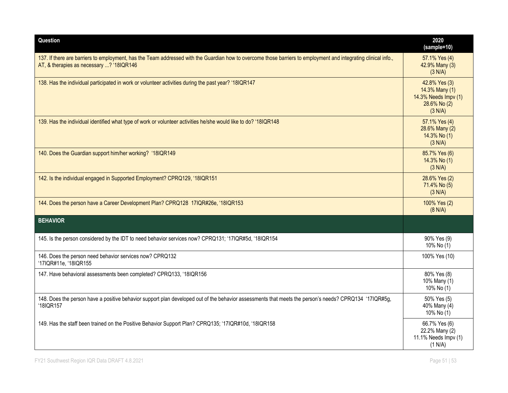| Question                                                                                                                                                                                                    | 2020<br>(sample=10)                                                                |
|-------------------------------------------------------------------------------------------------------------------------------------------------------------------------------------------------------------|------------------------------------------------------------------------------------|
| 137. If there are barriers to employment, has the Team addressed with the Guardian how to overcome those barriers to employment and integrating clinical info.,<br>AT, & therapies as necessary ? '18IQR146 | 57.1% Yes (4)<br>42.9% Many (3)<br>(3 N/A)                                         |
| 138. Has the individual participated in work or volunteer activities during the past year? '18IQR147                                                                                                        | 42.8% Yes (3)<br>14.3% Many (1)<br>14.3% Needs Impv (1)<br>28.6% No (2)<br>(3 N/A) |
| 139. Has the individual identified what type of work or volunteer activities he/she would like to do? '18IQR148                                                                                             | 57.1% Yes (4)<br>28.6% Many (2)<br>14.3% No (1)<br>(3 N/A)                         |
| 140. Does the Guardian support him/her working? '18IQR149                                                                                                                                                   | 85.7% Yes (6)<br>14.3% No (1)<br>(3 N/A)                                           |
| 142. Is the individual engaged in Supported Employment? CPRQ129, '18IQR151                                                                                                                                  | 28.6% Yes (2)<br>71.4% No (5)<br>(3 N/A)                                           |
| 144. Does the person have a Career Development Plan? CPRQ128 17IQR#26e, '18IQR153                                                                                                                           | 100% Yes (2)<br>(8 N/A)                                                            |
| <b>BEHAVIOR</b>                                                                                                                                                                                             |                                                                                    |
| 145. Is the person considered by the IDT to need behavior services now? CPRQ131; '17IQR#5d, '18IQR154                                                                                                       | 90% Yes (9)<br>10% No (1)                                                          |
| 146. Does the person need behavior services now? CPRQ132<br>'17IQR#11e, '18IQR155                                                                                                                           | 100% Yes (10)                                                                      |
| 147. Have behavioral assessments been completed? CPRQ133, '18IQR156                                                                                                                                         | 80% Yes (8)<br>10% Many (1)<br>10% No (1)                                          |
| 148. Does the person have a positive behavior support plan developed out of the behavior assessments that meets the person's needs? CPRQ134 '17IQR#5g,<br>'18IQR157                                         | 50% Yes (5)<br>40% Many (4)<br>10% No (1)                                          |
| 149. Has the staff been trained on the Positive Behavior Support Plan? CPRQ135; '17IQR#10d, '18IQR158                                                                                                       | 66.7% Yes (6)<br>22.2% Many (2)<br>11.1% Needs Impv (1)<br>(1 N/A)                 |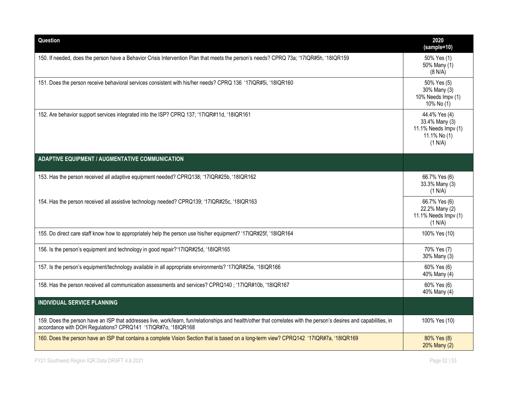| Question                                                                                                                                                                                                                             | 2020<br>(sample=10)                                                                |
|--------------------------------------------------------------------------------------------------------------------------------------------------------------------------------------------------------------------------------------|------------------------------------------------------------------------------------|
| 150. If needed, does the person have a Behavior Crisis Intervention Plan that meets the person's needs? CPRQ 73a; '17IQR#5h, '18IQR159                                                                                               | 50% Yes (1)<br>50% Many (1)<br>(8 N/A)                                             |
| 151. Does the person receive behavioral services consistent with his/her needs? CPRQ 136 '17IQR#5i, '18IQR160                                                                                                                        | 50% Yes (5)<br>30% Many (3)<br>10% Needs Impv (1)<br>10% No (1)                    |
| 152. Are behavior support services integrated into the ISP? CPRQ 137; '17IQR#11d, '18IQR161                                                                                                                                          | 44.4% Yes (4)<br>33.4% Many (3)<br>11.1% Needs Impv (1)<br>11.1% No (1)<br>(1 N/A) |
| <b>ADAPTIVE EQUIPMENT / AUGMENTATIVE COMMUNICATION</b>                                                                                                                                                                               |                                                                                    |
| 153. Has the person received all adaptive equipment needed? CPRQ138; '17IQR#25b, '18IQR162                                                                                                                                           | 66.7% Yes (6)<br>33.3% Many (3)<br>(1 N/A)                                         |
| 154. Has the person received all assistive technology needed? CPRQ139; '17IQR#25c, '18IQR163                                                                                                                                         | 66.7% Yes (6)<br>22.2% Many (2)<br>11.1% Needs Impv (1)<br>(1 N/A)                 |
| 155. Do direct care staff know how to appropriately help the person use his/her equipment? '17IQR#25f, '18IQR164                                                                                                                     | 100% Yes (10)                                                                      |
| 156. Is the person's equipment and technology in good repair?'17IQR#25d, '18IQR165                                                                                                                                                   | 70% Yes (7)<br>30% Many (3)                                                        |
| 157. Is the person's equipment/technology available in all appropriate environments? '17IQR#25e, '18IQR166                                                                                                                           | 60% Yes (6)<br>40% Many (4)                                                        |
| 158. Has the person received all communication assessments and services? CPRQ140; '17IQR#10b, '18IQR167                                                                                                                              | 60% Yes (6)<br>40% Many (4)                                                        |
| <b>INDIVIDUAL SERVICE PLANNING</b>                                                                                                                                                                                                   |                                                                                    |
| 159. Does the person have an ISP that addresses live, work/learn, fun/relationships and health/other that correlates with the person's desires and capabilities, in<br>accordance with DOH Regulations? CPRQ141 '17IQR#7o, '18IQR168 | 100% Yes (10)                                                                      |
| 160. Does the person have an ISP that contains a complete Vision Section that is based on a long-term view? CPRQ142 '17IQR#7a, '18IQR169                                                                                             | 80% Yes (8)<br>20% Many (2)                                                        |